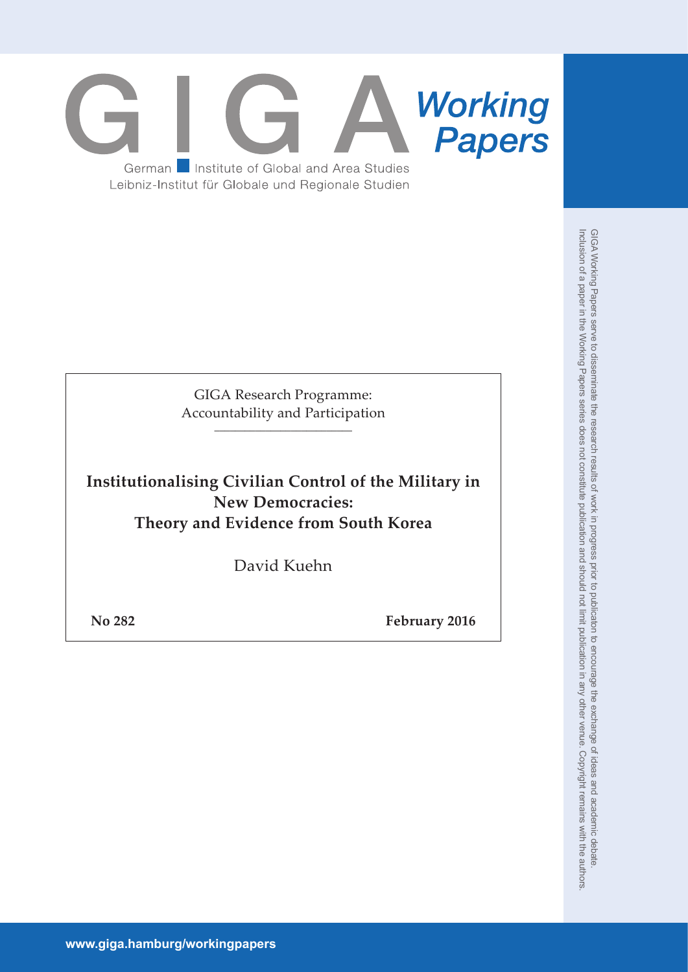

GIGA Research Programme: Accountability and Participation \_\_\_\_\_\_\_\_\_\_\_\_\_\_\_\_\_\_\_\_\_\_\_\_\_\_\_

**Institutionalising Civilian Control of the Military in New Democracies: Theory and Evidence from South Korea**

David Kuehn

**No 282 February 2016**

**www.giga.hamburg/workingpapers**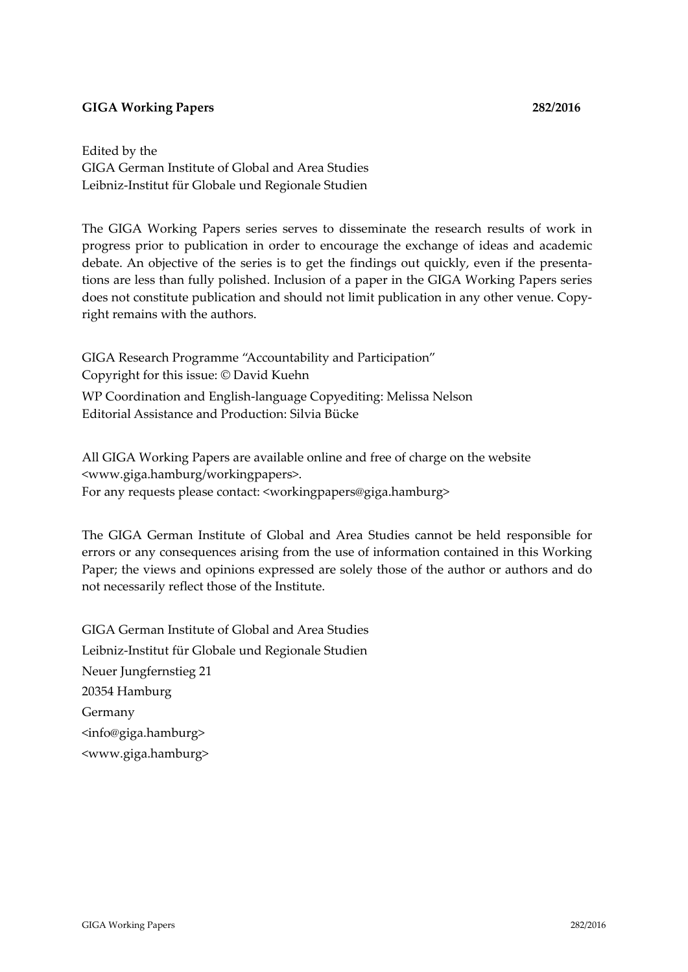## **GIGA Working Papers 282/2016**

Edited by the GIGA German Institute of Global and Area Studies Leibniz‐Institut für Globale und Regionale Studien

The GIGA Working Papers series serves to disseminate the research results of work in progress prior to publication in order to encourage the exchange of ideas and academic debate. An objective of the series is to get the findings out quickly, even if the presenta‐ tions are less than fully polished. Inclusion of a paper in the GIGA Working Papers series does not constitute publication and should not limit publication in any other venue. Copyright remains with the authors.

GIGA Research Programme "Accountability and Participation" Copyright for this issue: © David Kuehn WP Coordination and English‐language Copyediting: Melissa Nelson Editorial Assistance and Production: Silvia Bücke

All GIGA Working Papers are available online and free of charge on the website <www.giga.hamburg/workingpapers>. For any requests please contact: <workingpapers@giga.hamburg>

The GIGA German Institute of Global and Area Studies cannot be held responsible for errors or any consequences arising from the use of information contained in this Working Paper; the views and opinions expressed are solely those of the author or authors and do not necessarily reflect those of the Institute.

GIGA German Institute of Global and Area Studies Leibniz‐Institut für Globale und Regionale Studien Neuer Jungfernstieg 21 20354 Hamburg Germany <info@giga.hamburg> <www.giga.hamburg>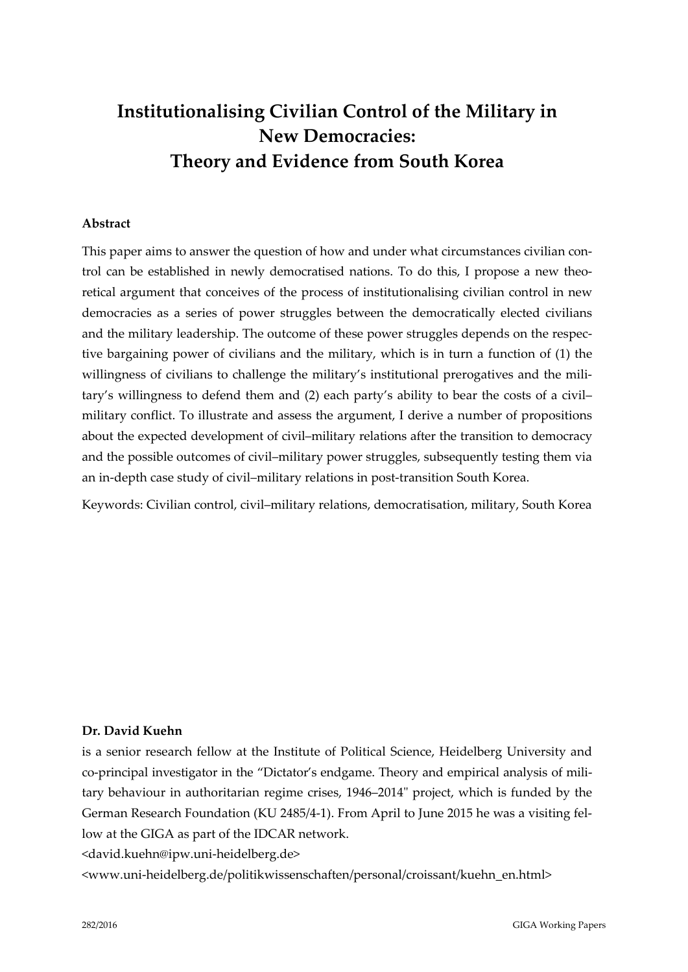# **Institutionalising Civilian Control of the Military in New Democracies: Theory and Evidence from South Korea**

## **Abstract**

This paper aims to answer the question of how and under what circumstances civilian control can be established in newly democratised nations. To do this, I propose a new theo‐ retical argument that conceives of the process of institutionalising civilian control in new democracies as a series of power struggles between the democratically elected civilians and the military leadership. The outcome of these power struggles depends on the respective bargaining power of civilians and the military, which is in turn a function of (1) the willingness of civilians to challenge the military's institutional prerogatives and the military's willingness to defend them and (2) each party's ability to bear the costs of a civil– military conflict. To illustrate and assess the argument, I derive a number of propositions about the expected development of civil–military relations after the transition to democracy and the possible outcomes of civil–military power struggles, subsequently testing them via an in-depth case study of civil-military relations in post-transition South Korea.

Keywords: Civilian control, civil–military relations, democratisation, military, South Korea

## **Dr. David Kuehn**

is a senior research fellow at the Institute of Political Science, Heidelberg University and co-principal investigator in the "Dictator's endgame. Theory and empirical analysis of military behaviour in authoritarian regime crises, 1946–2014" project, which is funded by the German Research Foundation (KU 2485/4‐1). From April to June 2015 he was a visiting fel‐ low at the GIGA as part of the IDCAR network.

<david.kuehn@ipw.uni‐heidelberg.de>

<www.uni‐heidelberg.de/politikwissenschaften/personal/croissant/kuehn\_en.html>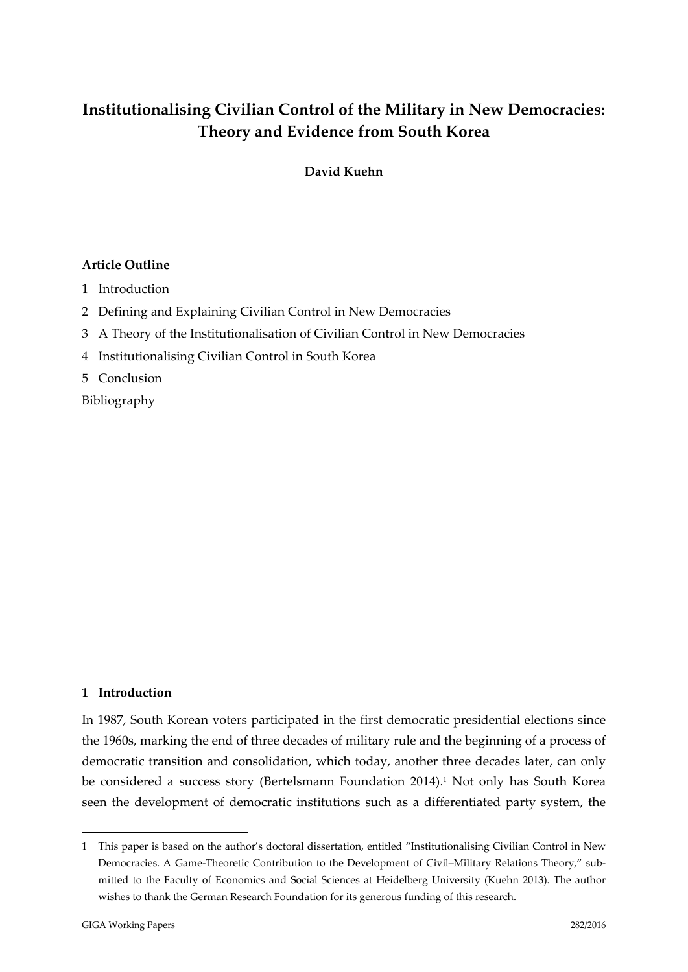## **Institutionalising Civilian Control of the Military in New Democracies: Theory and Evidence from South Korea**

**David Kuehn**

## **Article Outline**

- 1 Introduction
- 2 Defining and Explaining Civilian Control in New Democracies
- 3 A Theory of the Institutionalisation of Civilian Control in New Democracies
- 4 Institutionalising Civilian Control in South Korea
- 5 Conclusion

Bibliography

## **1 Introduction**

In 1987, South Korean voters participated in the first democratic presidential elections since the 1960s, marking the end of three decades of military rule and the beginning of a process of democratic transition and consolidation, which today, another three decades later, can only be considered a success story (Bertelsmann Foundation 2014).<sup>1</sup> Not only has South Korea seen the development of democratic institutions such as a differentiated party system, the

1

<sup>1</sup> This paper is based on the author's doctoral dissertation, entitled "Institutionalising Civilian Control in New Democracies. A Game-Theoretic Contribution to the Development of Civil–Military Relations Theory," submitted to the Faculty of Economics and Social Sciences at Heidelberg University (Kuehn 2013). The author wishes to thank the German Research Foundation for its generous funding of this research.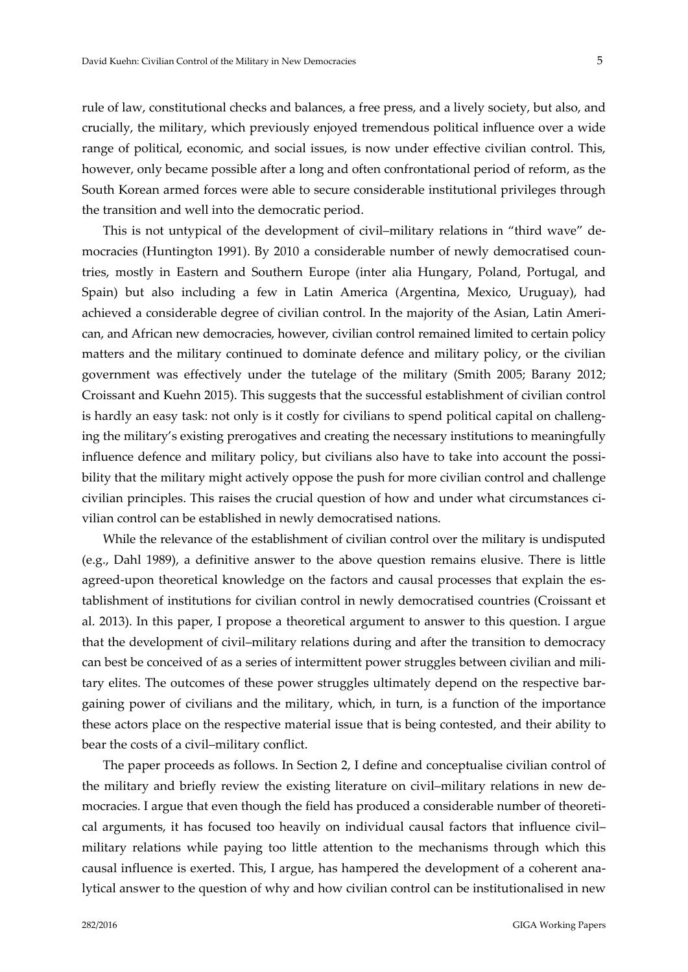rule of law, constitutional checks and balances, a free press, and a lively society, but also, and crucially, the military, which previously enjoyed tremendous political influence over a wide range of political, economic, and social issues, is now under effective civilian control. This, however, only became possible after a long and often confrontational period of reform, as the South Korean armed forces were able to secure considerable institutional privileges through the transition and well into the democratic period.

This is not untypical of the development of civil–military relations in "third wave" de‐ mocracies (Huntington 1991). By 2010 a considerable number of newly democratised countries, mostly in Eastern and Southern Europe (inter alia Hungary, Poland, Portugal, and Spain) but also including a few in Latin America (Argentina, Mexico, Uruguay), had achieved a considerable degree of civilian control. In the majority of the Asian, Latin Ameri‐ can, and African new democracies, however, civilian control remained limited to certain policy matters and the military continued to dominate defence and military policy, or the civilian government was effectively under the tutelage of the military (Smith 2005; Barany 2012; Croissant and Kuehn 2015). This suggests that the successful establishment of civilian control is hardly an easy task: not only is it costly for civilians to spend political capital on challenging the military's existing prerogatives and creating the necessary institutions to meaningfully influence defence and military policy, but civilians also have to take into account the possibility that the military might actively oppose the push for more civilian control and challenge civilian principles. This raises the crucial question of how and under what circumstances civilian control can be established in newly democratised nations.

While the relevance of the establishment of civilian control over the military is undisputed (e.g., Dahl 1989), a definitive answer to the above question remains elusive. There is little agreed-upon theoretical knowledge on the factors and causal processes that explain the establishment of institutions for civilian control in newly democratised countries (Croissant et al. 2013). In this paper, I propose a theoretical argument to answer to this question. I argue that the development of civil–military relations during and after the transition to democracy can best be conceived of as a series of intermittent power struggles between civilian and military elites. The outcomes of these power struggles ultimately depend on the respective bargaining power of civilians and the military, which, in turn, is a function of the importance these actors place on the respective material issue that is being contested, and their ability to bear the costs of a civil–military conflict.

The paper proceeds as follows. In Section 2, I define and conceptualise civilian control of the military and briefly review the existing literature on civil–military relations in new de‐ mocracies. I argue that even though the field has produced a considerable number of theoretical arguments, it has focused too heavily on individual causal factors that influence civil– military relations while paying too little attention to the mechanisms through which this causal influence is exerted. This, I argue, has hampered the development of a coherent ana‐ lytical answer to the question of why and how civilian control can be institutionalised in new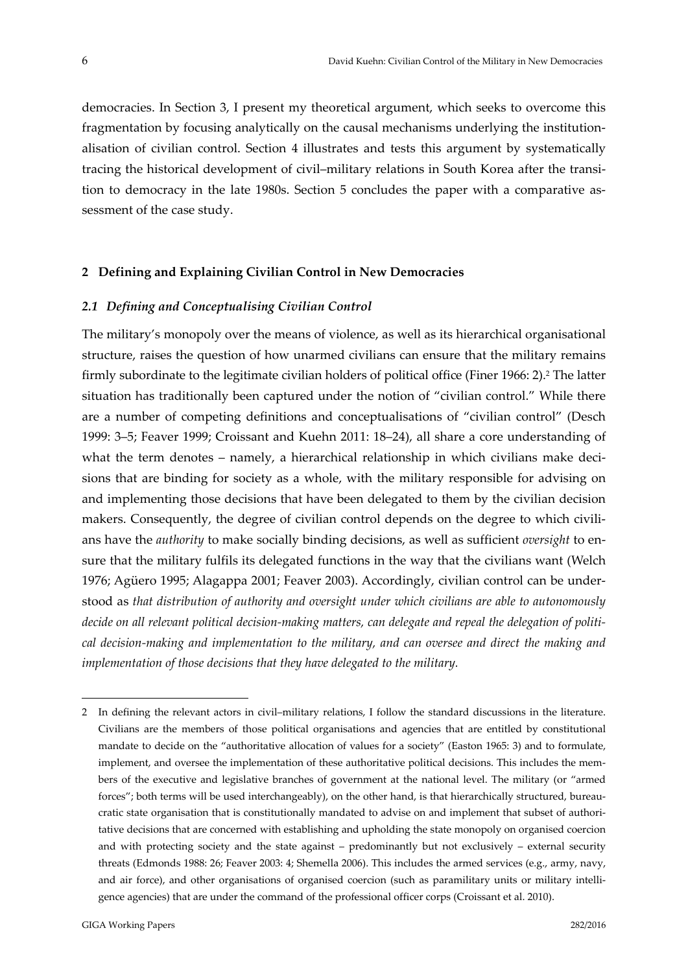democracies. In Section 3, I present my theoretical argument, which seeks to overcome this fragmentation by focusing analytically on the causal mechanisms underlying the institutionalisation of civilian control. Section 4 illustrates and tests this argument by systematically tracing the historical development of civil-military relations in South Korea after the transition to democracy in the late 1980s. Section 5 concludes the paper with a comparative as‐ sessment of the case study.

#### **2 Defining and Explaining Civilian Control in New Democracies**

### *2.1 Defining and Conceptualising Civilian Control*

The military's monopoly over the means of violence, as well as its hierarchical organisational structure, raises the question of how unarmed civilians can ensure that the military remains firmly subordinate to the legitimate civilian holders of political office (Finer 1966: 2).2 The latter situation has traditionally been captured under the notion of "civilian control." While there are a number of competing definitions and conceptualisations of "civilian control" (Desch 1999: 3–5; Feaver 1999; Croissant and Kuehn 2011: 18–24), all share a core understanding of what the term denotes – namely, a hierarchical relationship in which civilians make decisions that are binding for society as a whole, with the military responsible for advising on and implementing those decisions that have been delegated to them by the civilian decision makers. Consequently, the degree of civilian control depends on the degree to which civilians have the *authority* to make socially binding decisions, as well as sufficient *oversight* to en‐ sure that the military fulfils its delegated functions in the way that the civilians want (Welch 1976; Agüero 1995; Alagappa 2001; Feaver 2003). Accordingly, civilian control can be under‐ stood as *that distribution of authority and oversight under which civilians are able to autonomously* decide on all relevant political decision-making matters, can delegate and repeal the delegation of politi*cal decision‐making and implementation to the military, and can oversee and direct the making and implementation of those decisions that they have delegated to the military.*

<u>.</u>

<sup>2</sup> In defining the relevant actors in civil–military relations, I follow the standard discussions in the literature. Civilians are the members of those political organisations and agencies that are entitled by constitutional mandate to decide on the "authoritative allocation of values for a society" (Easton 1965: 3) and to formulate, implement, and oversee the implementation of these authoritative political decisions. This includes the members of the executive and legislative branches of government at the national level. The military (or "armed forces"; both terms will be used interchangeably), on the other hand, is that hierarchically structured, bureaucratic state organisation that is constitutionally mandated to advise on and implement that subset of authori‐ tative decisions that are concerned with establishing and upholding the state monopoly on organised coercion and with protecting society and the state against – predominantly but not exclusively – external security threats (Edmonds 1988: 26; Feaver 2003: 4; Shemella 2006). This includes the armed services (e.g., army, navy, and air force), and other organisations of organised coercion (such as paramilitary units or military intelligence agencies) that are under the command of the professional officer corps (Croissant et al. 2010).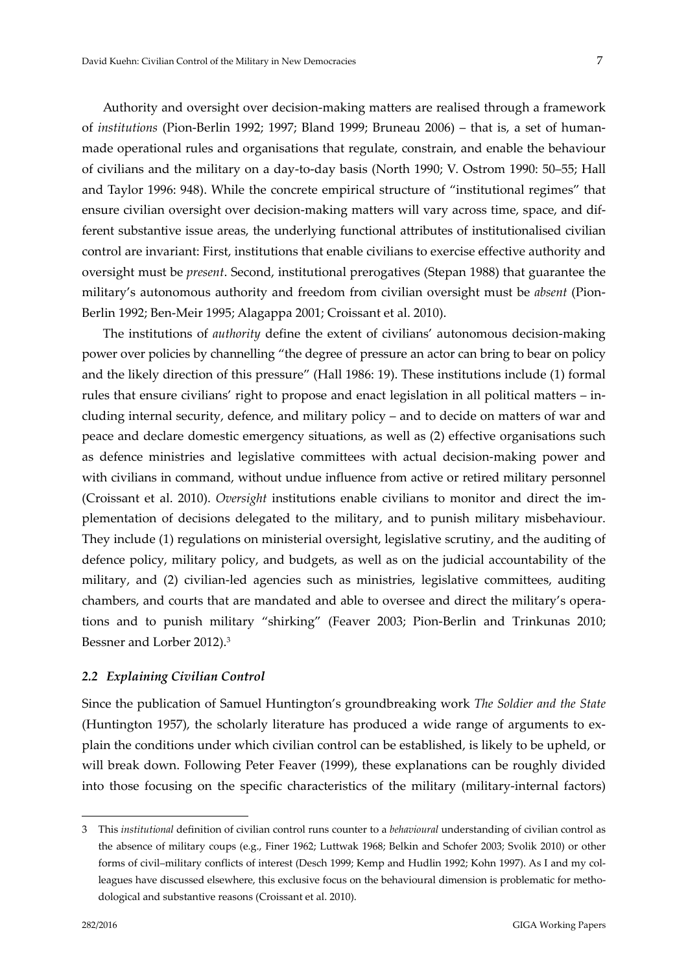Authority and oversight over decision‐making matters are realised through a framework of *institutions* (Pion‐Berlin 1992; 1997; Bland 1999; Bruneau 2006) – that is, a set of human‐ made operational rules and organisations that regulate, constrain, and enable the behaviour of civilians and the military on a day‐to‐day basis (North 1990; V. Ostrom 1990: 50–55; Hall and Taylor 1996: 948). While the concrete empirical structure of "institutional regimes" that ensure civilian oversight over decision-making matters will vary across time, space, and different substantive issue areas, the underlying functional attributes of institutionalised civilian control are invariant: First, institutions that enable civilians to exercise effective authority and oversight must be *present*. Second, institutional prerogatives (Stepan 1988) that guarantee the military's autonomous authority and freedom from civilian oversight must be *absent* (Pion‐ Berlin 1992; Ben‐Meir 1995; Alagappa 2001; Croissant et al. 2010).

The institutions of *authority* define the extent of civilians' autonomous decision-making power over policies by channelling "the degree of pressure an actor can bring to bear on policy and the likely direction of this pressure" (Hall 1986: 19). These institutions include (1) formal rules that ensure civilians' right to propose and enact legislation in all political matters – in‐ cluding internal security, defence, and military policy – and to decide on matters of war and peace and declare domestic emergency situations, as well as (2) effective organisations such as defence ministries and legislative committees with actual decision-making power and with civilians in command, without undue influence from active or retired military personnel (Croissant et al. 2010). *Oversight* institutions enable civilians to monitor and direct the im‐ plementation of decisions delegated to the military, and to punish military misbehaviour. They include (1) regulations on ministerial oversight, legislative scrutiny, and the auditing of defence policy, military policy, and budgets, as well as on the judicial accountability of the military, and (2) civilian-led agencies such as ministries, legislative committees, auditing chambers, and courts that are mandated and able to oversee and direct the military's operations and to punish military "shirking" (Feaver 2003; Pion‐Berlin and Trinkunas 2010; Bessner and Lorber 2012).3

## *2.2 Explaining Civilian Control*

Since the publication of Samuel Huntington's groundbreaking work *The Soldier and the State* (Huntington 1957), the scholarly literature has produced a wide range of arguments to ex‐ plain the conditions under which civilian control can be established, is likely to be upheld, or will break down. Following Peter Feaver (1999), these explanations can be roughly divided into those focusing on the specific characteristics of the military (military‐internal factors)

1

<sup>3</sup> This *institutional* definition of civilian control runs counter to a *behavioural* understanding of civilian control as the absence of military coups (e.g., Finer 1962; Luttwak 1968; Belkin and Schofer 2003; Svolik 2010) or other forms of civil-military conflicts of interest (Desch 1999; Kemp and Hudlin 1992; Kohn 1997). As I and my colleagues have discussed elsewhere, this exclusive focus on the behavioural dimension is problematic for methodological and substantive reasons (Croissant et al. 2010).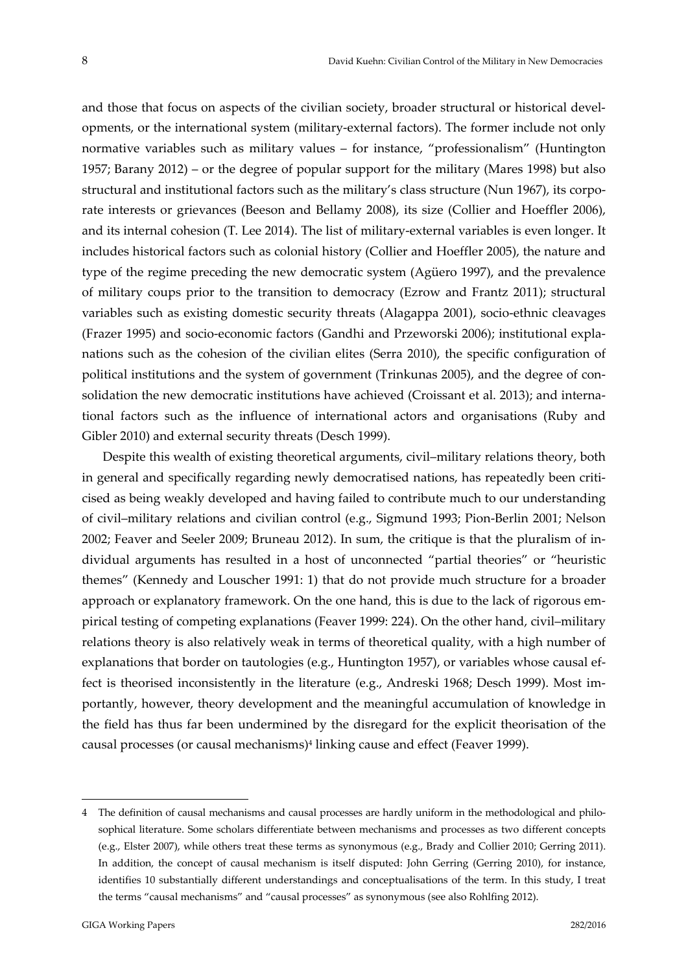and those that focus on aspects of the civilian society, broader structural or historical developments, or the international system (military‐external factors). The former include not only normative variables such as military values – for instance, "professionalism" (Huntington 1957; Barany 2012) – or the degree of popular support for the military (Mares 1998) but also structural and institutional factors such as the military's class structure (Nun 1967), its corporate interests or grievances (Beeson and Bellamy 2008), its size (Collier and Hoeffler 2006), and its internal cohesion (T. Lee 2014). The list of military-external variables is even longer. It includes historical factors such as colonial history (Collier and Hoeffler 2005), the nature and type of the regime preceding the new democratic system (Agüero 1997), and the prevalence of military coups prior to the transition to democracy (Ezrow and Frantz 2011); structural variables such as existing domestic security threats (Alagappa 2001), socio-ethnic cleavages (Frazer 1995) and socio‐economic factors (Gandhi and Przeworski 2006); institutional expla‐ nations such as the cohesion of the civilian elites (Serra 2010), the specific configuration of political institutions and the system of government (Trinkunas 2005), and the degree of consolidation the new democratic institutions have achieved (Croissant et al. 2013); and international factors such as the influence of international actors and organisations (Ruby and Gibler 2010) and external security threats (Desch 1999).

Despite this wealth of existing theoretical arguments, civil–military relations theory, both in general and specifically regarding newly democratised nations, has repeatedly been criticised as being weakly developed and having failed to contribute much to our understanding of civil–military relations and civilian control (e.g., Sigmund 1993; Pion‐Berlin 2001; Nelson 2002; Feaver and Seeler 2009; Bruneau 2012). In sum, the critique is that the pluralism of in‐ dividual arguments has resulted in a host of unconnected "partial theories" or "heuristic themes" (Kennedy and Louscher 1991: 1) that do not provide much structure for a broader approach or explanatory framework. On the one hand, this is due to the lack of rigorous empirical testing of competing explanations (Feaver 1999: 224). On the other hand, civil–military relations theory is also relatively weak in terms of theoretical quality, with a high number of explanations that border on tautologies (e.g., Huntington 1957), or variables whose causal effect is theorised inconsistently in the literature (e.g., Andreski 1968; Desch 1999). Most importantly, however, theory development and the meaningful accumulation of knowledge in the field has thus far been undermined by the disregard for the explicit theorisation of the causal processes (or causal mechanisms)4 linking cause and effect (Feaver 1999).

<u>.</u>

<sup>4</sup> The definition of causal mechanisms and causal processes are hardly uniform in the methodological and philo‐ sophical literature. Some scholars differentiate between mechanisms and processes as two different concepts (e.g., Elster 2007), while others treat these terms as synonymous (e.g., Brady and Collier 2010; Gerring 2011). In addition, the concept of causal mechanism is itself disputed: John Gerring (Gerring 2010), for instance, identifies 10 substantially different understandings and conceptualisations of the term. In this study, I treat the terms "causal mechanisms" and "causal processes" as synonymous (see also Rohlfing 2012).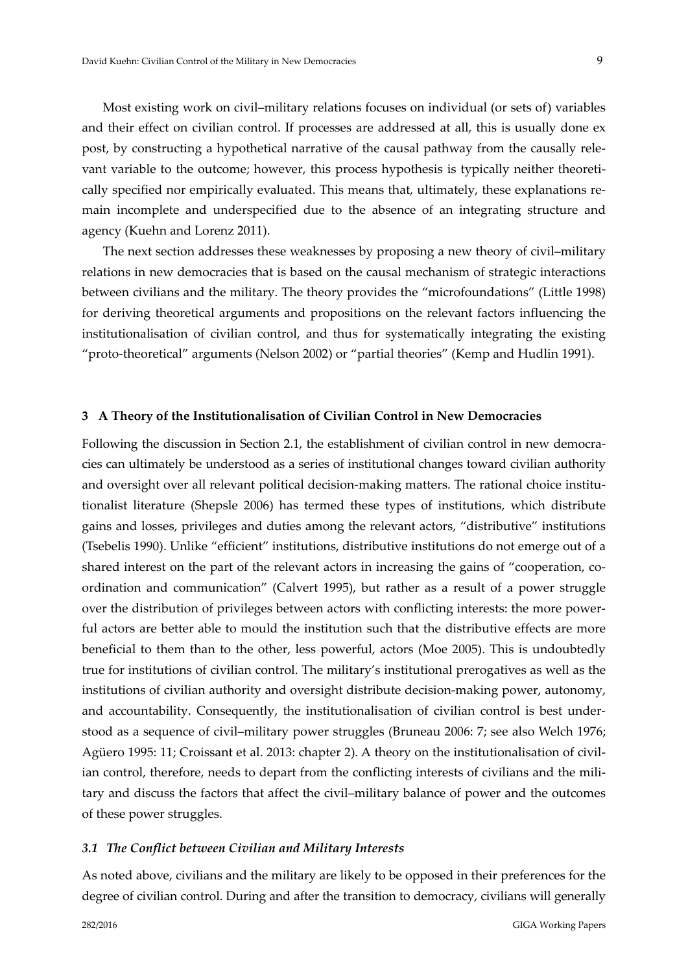Most existing work on civil–military relations focuses on individual (or sets of) variables and their effect on civilian control. If processes are addressed at all, this is usually done ex post, by constructing a hypothetical narrative of the causal pathway from the causally rele‐ vant variable to the outcome; however, this process hypothesis is typically neither theoretically specified nor empirically evaluated. This means that, ultimately, these explanations remain incomplete and underspecified due to the absence of an integrating structure and agency (Kuehn and Lorenz 2011).

The next section addresses these weaknesses by proposing a new theory of civil–military relations in new democracies that is based on the causal mechanism of strategic interactions between civilians and the military. The theory provides the "microfoundations" (Little 1998) for deriving theoretical arguments and propositions on the relevant factors influencing the institutionalisation of civilian control, and thus for systematically integrating the existing "proto‐theoretical" arguments (Nelson 2002) or "partial theories" (Kemp and Hudlin 1991).

#### **3 A Theory of the Institutionalisation of Civilian Control in New Democracies**

Following the discussion in Section 2.1, the establishment of civilian control in new democracies can ultimately be understood as a series of institutional changes toward civilian authority and oversight over all relevant political decision-making matters. The rational choice institutionalist literature (Shepsle 2006) has termed these types of institutions, which distribute gains and losses, privileges and duties among the relevant actors, "distributive" institutions (Tsebelis 1990). Unlike "efficient" institutions, distributive institutions do not emerge out of a shared interest on the part of the relevant actors in increasing the gains of "cooperation, coordination and communication" (Calvert 1995), but rather as a result of a power struggle over the distribution of privileges between actors with conflicting interests: the more power‐ ful actors are better able to mould the institution such that the distributive effects are more beneficial to them than to the other, less powerful, actors (Moe 2005). This is undoubtedly true for institutions of civilian control. The military's institutional prerogatives as well as the institutions of civilian authority and oversight distribute decision-making power, autonomy, and accountability. Consequently, the institutionalisation of civilian control is best under‐ stood as a sequence of civil–military power struggles (Bruneau 2006: 7; see also Welch 1976; Agüero 1995: 11; Croissant et al. 2013: chapter 2). A theory on the institutionalisation of civil‐ ian control, therefore, needs to depart from the conflicting interests of civilians and the military and discuss the factors that affect the civil–military balance of power and the outcomes of these power struggles.

#### *3.1 The Conflict between Civilian and Military Interests*

As noted above, civilians and the military are likely to be opposed in their preferences for the degree of civilian control. During and after the transition to democracy, civilians will generally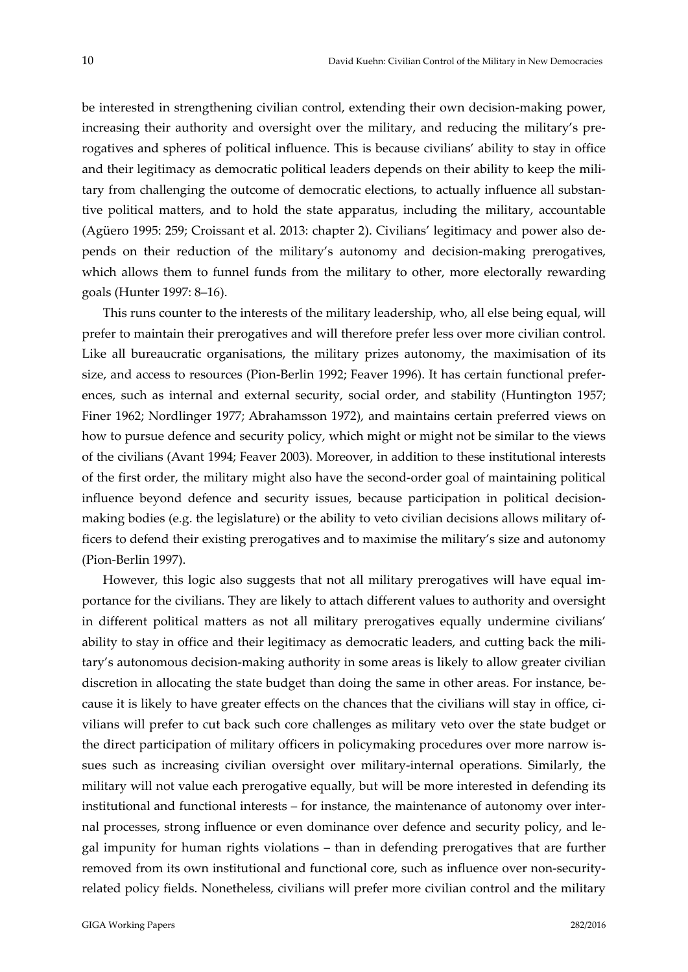be interested in strengthening civilian control, extending their own decision-making power, increasing their authority and oversight over the military, and reducing the military's prerogatives and spheres of political influence. This is because civilians' ability to stay in office and their legitimacy as democratic political leaders depends on their ability to keep the military from challenging the outcome of democratic elections, to actually influence all substantive political matters, and to hold the state apparatus, including the military, accountable (Agüero 1995: 259; Croissant et al. 2013: chapter 2). Civilians' legitimacy and power also de‐ pends on their reduction of the military's autonomy and decision‐making prerogatives, which allows them to funnel funds from the military to other, more electorally rewarding goals (Hunter 1997: 8–16).

This runs counter to the interests of the military leadership, who, all else being equal, will prefer to maintain their prerogatives and will therefore prefer less over more civilian control. Like all bureaucratic organisations, the military prizes autonomy, the maximisation of its size, and access to resources (Pion‐Berlin 1992; Feaver 1996). It has certain functional prefer‐ ences, such as internal and external security, social order, and stability (Huntington 1957; Finer 1962; Nordlinger 1977; Abrahamsson 1972), and maintains certain preferred views on how to pursue defence and security policy, which might or might not be similar to the views of the civilians (Avant 1994; Feaver 2003). Moreover, in addition to these institutional interests of the first order, the military might also have the second‐order goal of maintaining political influence beyond defence and security issues, because participation in political decisionmaking bodies (e.g. the legislature) or the ability to veto civilian decisions allows military of‐ ficers to defend their existing prerogatives and to maximise the military's size and autonomy (Pion‐Berlin 1997).

However, this logic also suggests that not all military prerogatives will have equal importance for the civilians. They are likely to attach different values to authority and oversight in different political matters as not all military prerogatives equally undermine civilians' ability to stay in office and their legitimacy as democratic leaders, and cutting back the mili‐ tary's autonomous decision‐making authority in some areas is likely to allow greater civilian discretion in allocating the state budget than doing the same in other areas. For instance, because it is likely to have greater effects on the chances that the civilians will stay in office, civilians will prefer to cut back such core challenges as military veto over the state budget or the direct participation of military officers in policymaking procedures over more narrow issues such as increasing civilian oversight over military‐internal operations. Similarly, the military will not value each prerogative equally, but will be more interested in defending its institutional and functional interests – for instance, the maintenance of autonomy over inter‐ nal processes, strong influence or even dominance over defence and security policy, and le‐ gal impunity for human rights violations – than in defending prerogatives that are further removed from its own institutional and functional core, such as influence over non‐security‐ related policy fields. Nonetheless, civilians will prefer more civilian control and the military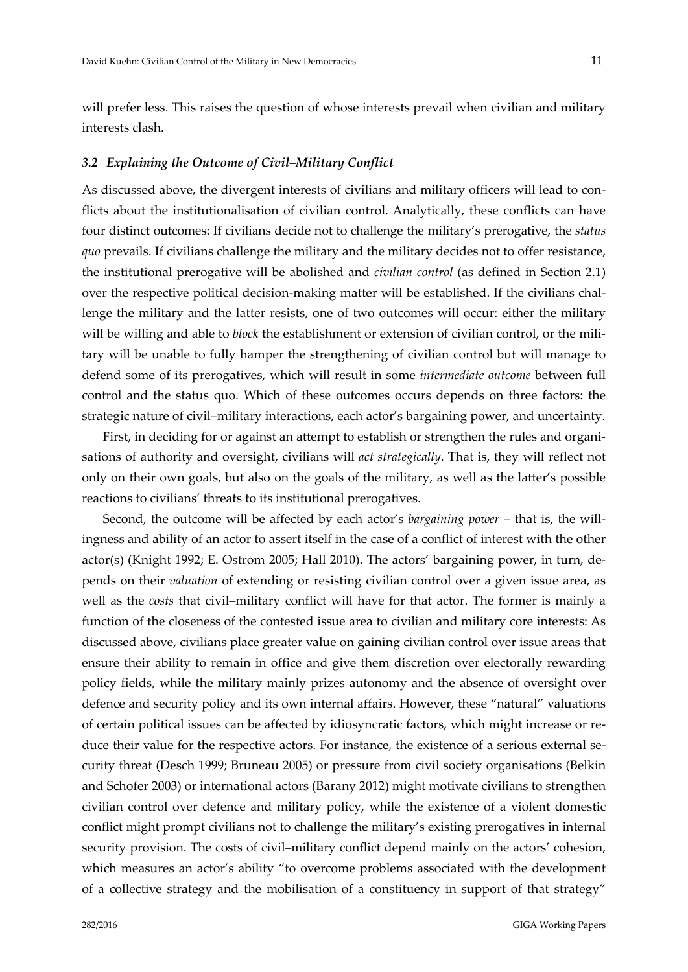will prefer less. This raises the question of whose interests prevail when civilian and military interests clash.

#### *3.2 Explaining the Outcome of Civil–Military Conflict*

As discussed above, the divergent interests of civilians and military officers will lead to conflicts about the institutionalisation of civilian control. Analytically, these conflicts can have four distinct outcomes: If civilians decide not to challenge the military's prerogative, the *status quo* prevails. If civilians challenge the military and the military decides not to offer resistance, the institutional prerogative will be abolished and *civilian control* (as defined in Section 2.1) over the respective political decision-making matter will be established. If the civilians challenge the military and the latter resists, one of two outcomes will occur: either the military will be willing and able to *block* the establishment or extension of civilian control, or the military will be unable to fully hamper the strengthening of civilian control but will manage to defend some of its prerogatives, which will result in some *intermediate outcome* between full control and the status quo. Which of these outcomes occurs depends on three factors: the strategic nature of civil–military interactions, each actor's bargaining power, and uncertainty.

First, in deciding for or against an attempt to establish or strengthen the rules and organisations of authority and oversight, civilians will *act strategically*. That is, they will reflect not only on their own goals, but also on the goals of the military, as well as the latter's possible reactions to civilians' threats to its institutional prerogatives.

Second, the outcome will be affected by each actor's *bargaining power* – that is, the will‐ ingness and ability of an actor to assert itself in the case of a conflict of interest with the other actor(s) (Knight 1992; E. Ostrom 2005; Hall 2010). The actors' bargaining power, in turn, de‐ pends on their *valuation* of extending or resisting civilian control over a given issue area, as well as the *costs* that civil–military conflict will have for that actor. The former is mainly a function of the closeness of the contested issue area to civilian and military core interests: As discussed above, civilians place greater value on gaining civilian control over issue areas that ensure their ability to remain in office and give them discretion over electorally rewarding policy fields, while the military mainly prizes autonomy and the absence of oversight over defence and security policy and its own internal affairs. However, these "natural" valuations of certain political issues can be affected by idiosyncratic factors, which might increase or re‐ duce their value for the respective actors. For instance, the existence of a serious external security threat (Desch 1999; Bruneau 2005) or pressure from civil society organisations (Belkin and Schofer 2003) or international actors (Barany 2012) might motivate civilians to strengthen civilian control over defence and military policy, while the existence of a violent domestic conflict might prompt civilians not to challenge the military's existing prerogatives in internal security provision. The costs of civil–military conflict depend mainly on the actors' cohesion, which measures an actor's ability "to overcome problems associated with the development of a collective strategy and the mobilisation of a constituency in support of that strategy"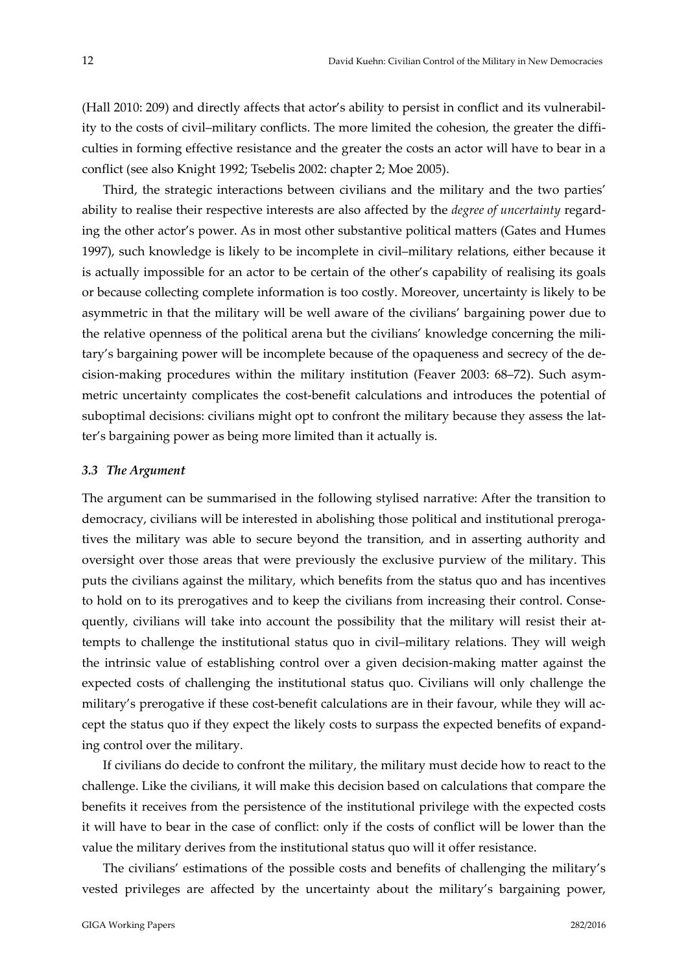(Hall 2010: 209) and directly affects that actor's ability to persist in conflict and its vulnerabil‐ ity to the costs of civil–military conflicts. The more limited the cohesion, the greater the difficulties in forming effective resistance and the greater the costs an actor will have to bear in a conflict (see also Knight 1992; Tsebelis 2002: chapter 2; Moe 2005).

Third, the strategic interactions between civilians and the military and the two parties' ability to realise their respective interests are also affected by the *degree of uncertainty* regard‐ ing the other actor's power. As in most other substantive political matters (Gates and Humes 1997), such knowledge is likely to be incomplete in civil–military relations, either because it is actually impossible for an actor to be certain of the other's capability of realising its goals or because collecting complete information is too costly. Moreover, uncertainty is likely to be asymmetric in that the military will be well aware of the civilians' bargaining power due to the relative openness of the political arena but the civilians' knowledge concerning the military's bargaining power will be incomplete because of the opaqueness and secrecy of the de‐ cision‐making procedures within the military institution (Feaver 2003: 68–72). Such asym‐ metric uncertainty complicates the cost-benefit calculations and introduces the potential of suboptimal decisions: civilians might opt to confront the military because they assess the latter's bargaining power as being more limited than it actually is.

#### *3.3 The Argument*

The argument can be summarised in the following stylised narrative: After the transition to democracy, civilians will be interested in abolishing those political and institutional prerogatives the military was able to secure beyond the transition, and in asserting authority and oversight over those areas that were previously the exclusive purview of the military. This puts the civilians against the military, which benefits from the status quo and has incentives to hold on to its prerogatives and to keep the civilians from increasing their control. Consequently, civilians will take into account the possibility that the military will resist their attempts to challenge the institutional status quo in civil–military relations. They will weigh the intrinsic value of establishing control over a given decision‐making matter against the expected costs of challenging the institutional status quo. Civilians will only challenge the military's prerogative if these cost-benefit calculations are in their favour, while they will accept the status quo if they expect the likely costs to surpass the expected benefits of expand‐ ing control over the military.

If civilians do decide to confront the military, the military must decide how to react to the challenge. Like the civilians, it will make this decision based on calculations that compare the benefits it receives from the persistence of the institutional privilege with the expected costs it will have to bear in the case of conflict: only if the costs of conflict will be lower than the value the military derives from the institutional status quo will it offer resistance.

The civilians' estimations of the possible costs and benefits of challenging the military's vested privileges are affected by the uncertainty about the military's bargaining power,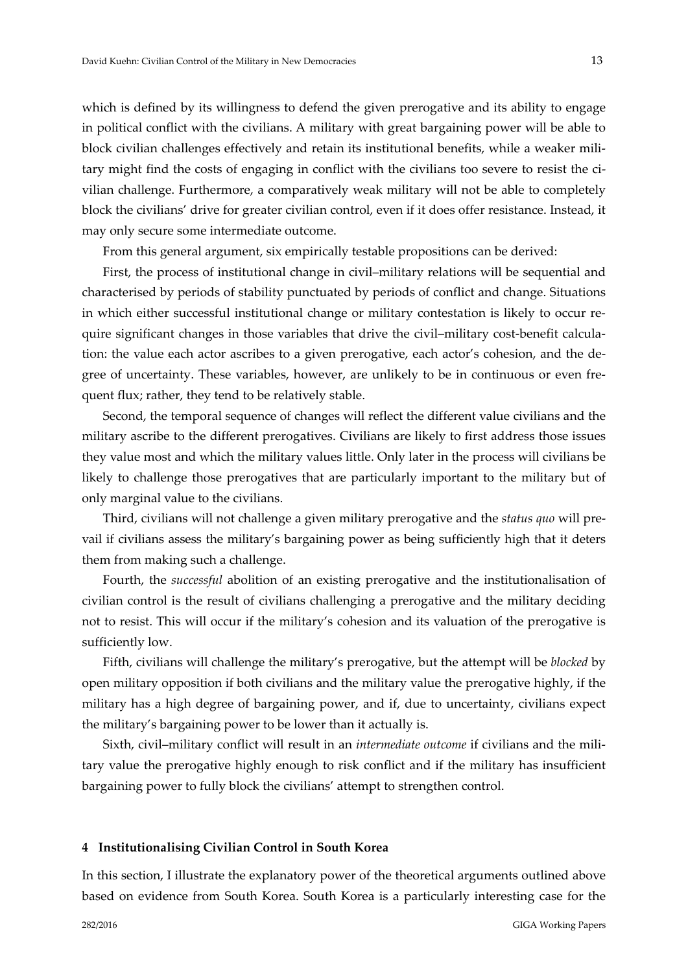which is defined by its willingness to defend the given prerogative and its ability to engage in political conflict with the civilians. A military with great bargaining power will be able to block civilian challenges effectively and retain its institutional benefits, while a weaker mili‐ tary might find the costs of engaging in conflict with the civilians too severe to resist the civilian challenge. Furthermore, a comparatively weak military will not be able to completely block the civilians' drive for greater civilian control, even if it does offer resistance. Instead, it may only secure some intermediate outcome.

From this general argument, six empirically testable propositions can be derived:

First, the process of institutional change in civil–military relations will be sequential and characterised by periods of stability punctuated by periods of conflict and change. Situations in which either successful institutional change or military contestation is likely to occur require significant changes in those variables that drive the civil-military cost-benefit calculation: the value each actor ascribes to a given prerogative, each actor's cohesion, and the de‐ gree of uncertainty. These variables, however, are unlikely to be in continuous or even frequent flux; rather, they tend to be relatively stable.

Second, the temporal sequence of changes will reflect the different value civilians and the military ascribe to the different prerogatives. Civilians are likely to first address those issues they value most and which the military values little. Only later in the process will civilians be likely to challenge those prerogatives that are particularly important to the military but of only marginal value to the civilians.

Third, civilians will not challenge a given military prerogative and the *status quo* will pre‐ vail if civilians assess the military's bargaining power as being sufficiently high that it deters them from making such a challenge.

Fourth, the *successful* abolition of an existing prerogative and the institutionalisation of civilian control is the result of civilians challenging a prerogative and the military deciding not to resist. This will occur if the military's cohesion and its valuation of the prerogative is sufficiently low.

Fifth, civilians will challenge the military's prerogative, but the attempt will be *blocked* by open military opposition if both civilians and the military value the prerogative highly, if the military has a high degree of bargaining power, and if, due to uncertainty, civilians expect the military's bargaining power to be lower than it actually is.

Sixth, civil–military conflict will result in an *intermediate outcome* if civilians and the mili‐ tary value the prerogative highly enough to risk conflict and if the military has insufficient bargaining power to fully block the civilians' attempt to strengthen control.

#### **4 Institutionalising Civilian Control in South Korea**

In this section, I illustrate the explanatory power of the theoretical arguments outlined above based on evidence from South Korea. South Korea is a particularly interesting case for the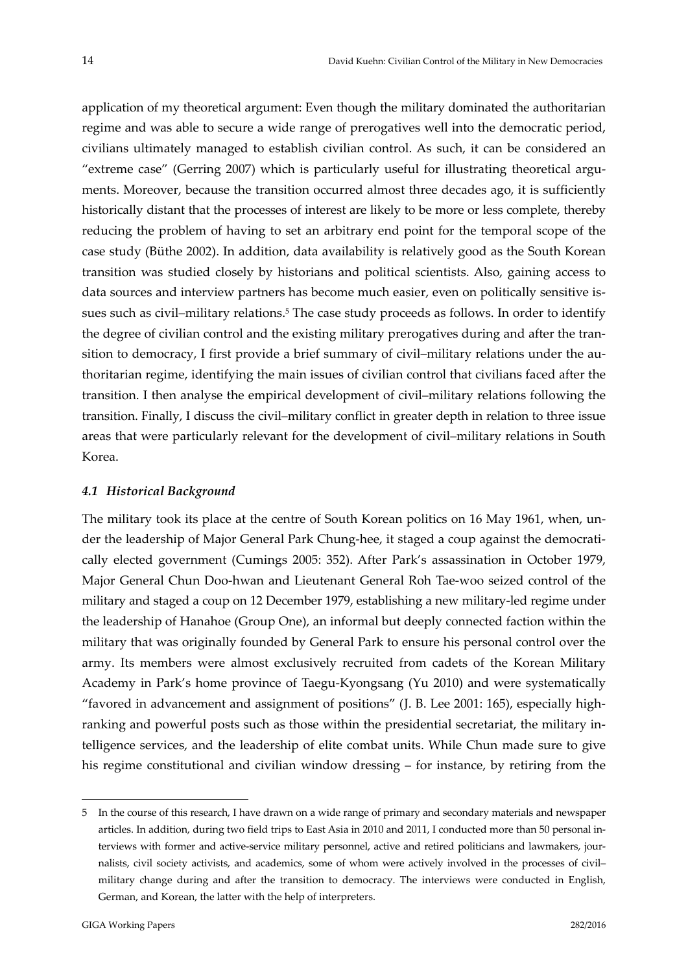application of my theoretical argument: Even though the military dominated the authoritarian regime and was able to secure a wide range of prerogatives well into the democratic period, civilians ultimately managed to establish civilian control. As such, it can be considered an "extreme case" (Gerring 2007) which is particularly useful for illustrating theoretical arguments. Moreover, because the transition occurred almost three decades ago, it is sufficiently historically distant that the processes of interest are likely to be more or less complete, thereby reducing the problem of having to set an arbitrary end point for the temporal scope of the case study (Büthe 2002). In addition, data availability is relatively good as the South Korean transition was studied closely by historians and political scientists. Also, gaining access to data sources and interview partners has become much easier, even on politically sensitive is‐ sues such as civil-military relations.<sup>5</sup> The case study proceeds as follows. In order to identify the degree of civilian control and the existing military prerogatives during and after the transition to democracy, I first provide a brief summary of civil–military relations under the authoritarian regime, identifying the main issues of civilian control that civilians faced after the transition. I then analyse the empirical development of civil–military relations following the transition. Finally, I discuss the civil–military conflict in greater depth in relation to three issue areas that were particularly relevant for the development of civil–military relations in South Korea.

### *4.1 Historical Background*

The military took its place at the centre of South Korean politics on 16 May 1961, when, under the leadership of Major General Park Chung-hee, it staged a coup against the democratically elected government (Cumings 2005: 352). After Park's assassination in October 1979, Major General Chun Doo‐hwan and Lieutenant General Roh Tae‐woo seized control of the military and staged a coup on 12 December 1979, establishing a new military‐led regime under the leadership of Hanahoe (Group One), an informal but deeply connected faction within the military that was originally founded by General Park to ensure his personal control over the army. Its members were almost exclusively recruited from cadets of the Korean Military Academy in Park's home province of Taegu‐Kyongsang (Yu 2010) and were systematically "favored in advancement and assignment of positions" (J. B. Lee 2001: 165), especially high‐ ranking and powerful posts such as those within the presidential secretariat, the military in‐ telligence services, and the leadership of elite combat units. While Chun made sure to give his regime constitutional and civilian window dressing – for instance, by retiring from the

<u>.</u>

<sup>5</sup> In the course of this research, I have drawn on a wide range of primary and secondary materials and newspaper articles. In addition, during two field trips to East Asia in 2010 and 2011, I conducted more than 50 personal interviews with former and active-service military personnel, active and retired politicians and lawmakers, journalists, civil society activists, and academics, some of whom were actively involved in the processes of civil– military change during and after the transition to democracy. The interviews were conducted in English, German, and Korean, the latter with the help of interpreters.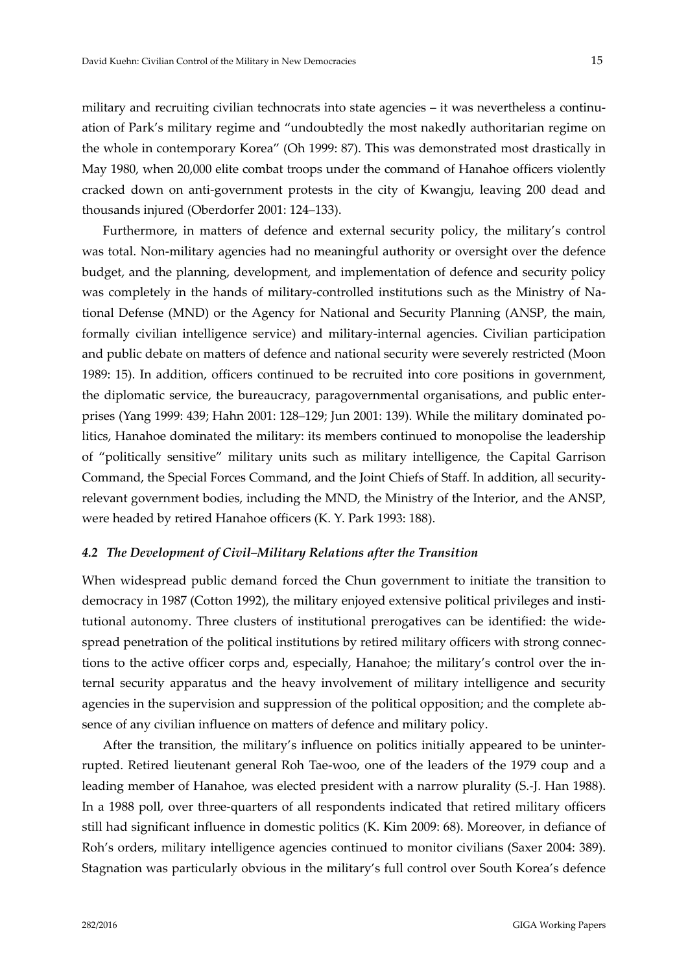military and recruiting civilian technocrats into state agencies – it was nevertheless a continuation of Park's military regime and "undoubtedly the most nakedly authoritarian regime on the whole in contemporary Korea" (Oh 1999: 87). This was demonstrated most drastically in May 1980, when 20,000 elite combat troops under the command of Hanahoe officers violently cracked down on anti‐government protests in the city of Kwangju, leaving 200 dead and thousands injured (Oberdorfer 2001: 124–133).

Furthermore, in matters of defence and external security policy, the military's control was total. Non-military agencies had no meaningful authority or oversight over the defence budget, and the planning, development, and implementation of defence and security policy was completely in the hands of military‐controlled institutions such as the Ministry of Na‐ tional Defense (MND) or the Agency for National and Security Planning (ANSP, the main, formally civilian intelligence service) and military‐internal agencies. Civilian participation and public debate on matters of defence and national security were severely restricted (Moon 1989: 15). In addition, officers continued to be recruited into core positions in government, the diplomatic service, the bureaucracy, paragovernmental organisations, and public enter‐ prises (Yang 1999: 439; Hahn 2001: 128–129; Jun 2001: 139). While the military dominated po‐ litics, Hanahoe dominated the military: its members continued to monopolise the leadership of "politically sensitive" military units such as military intelligence, the Capital Garrison Command, the Special Forces Command, and the Joint Chiefs of Staff. In addition, all security‐ relevant government bodies, including the MND, the Ministry of the Interior, and the ANSP, were headed by retired Hanahoe officers (K. Y. Park 1993: 188).

#### *4.2 The Development of Civil–Military Relations after the Transition*

When widespread public demand forced the Chun government to initiate the transition to democracy in 1987 (Cotton 1992), the military enjoyed extensive political privileges and institutional autonomy. Three clusters of institutional prerogatives can be identified: the widespread penetration of the political institutions by retired military officers with strong connections to the active officer corps and, especially, Hanahoe; the military's control over the in‐ ternal security apparatus and the heavy involvement of military intelligence and security agencies in the supervision and suppression of the political opposition; and the complete absence of any civilian influence on matters of defence and military policy.

After the transition, the military's influence on politics initially appeared to be uninter‐ rupted. Retired lieutenant general Roh Tae‐woo, one of the leaders of the 1979 coup and a leading member of Hanahoe, was elected president with a narrow plurality (S.‐J. Han 1988). In a 1988 poll, over three‐quarters of all respondents indicated that retired military officers still had significant influence in domestic politics (K. Kim 2009: 68). Moreover, in defiance of Roh's orders, military intelligence agencies continued to monitor civilians (Saxer 2004: 389). Stagnation was particularly obvious in the military's full control over South Korea's defence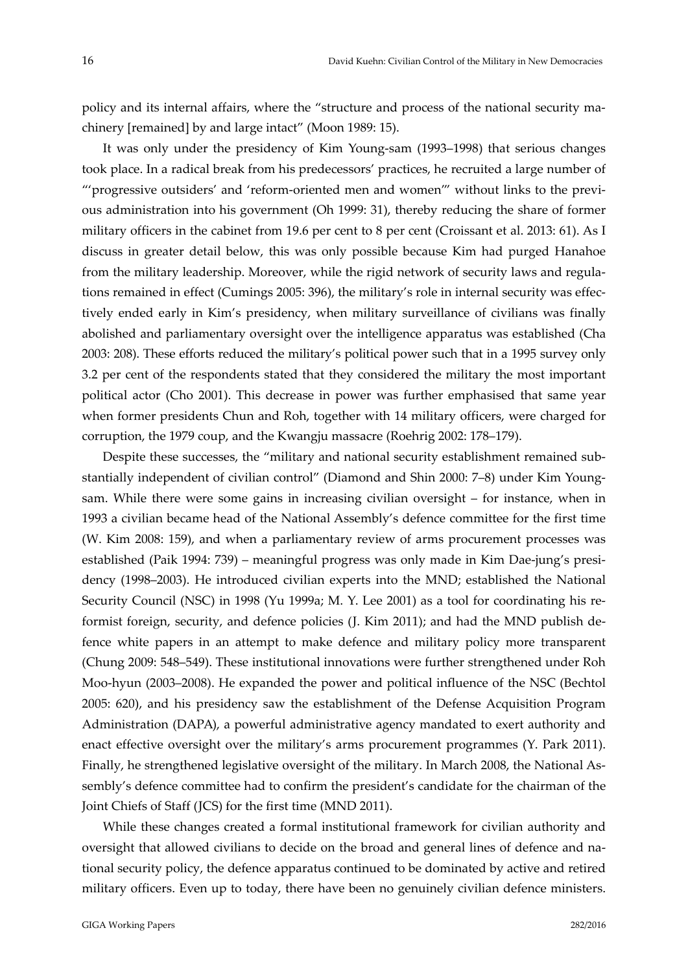policy and its internal affairs, where the "structure and process of the national security machinery [remained] by and large intact" (Moon 1989: 15).

It was only under the presidency of Kim Young‐sam (1993–1998) that serious changes took place. In a radical break from his predecessors' practices, he recruited a large number of "'progressive outsiders' and 'reform‐oriented men and women'" without links to the previ‐ ous administration into his government (Oh 1999: 31), thereby reducing the share of former military officers in the cabinet from 19.6 per cent to 8 per cent (Croissant et al. 2013: 61). As I discuss in greater detail below, this was only possible because Kim had purged Hanahoe from the military leadership. Moreover, while the rigid network of security laws and regula‐ tions remained in effect (Cumings 2005: 396), the military's role in internal security was effec‐ tively ended early in Kim's presidency, when military surveillance of civilians was finally abolished and parliamentary oversight over the intelligence apparatus was established (Cha 2003: 208). These efforts reduced the military's political power such that in a 1995 survey only 3.2 per cent of the respondents stated that they considered the military the most important political actor (Cho 2001). This decrease in power was further emphasised that same year when former presidents Chun and Roh, together with 14 military officers, were charged for corruption, the 1979 coup, and the Kwangju massacre (Roehrig 2002: 178–179).

Despite these successes, the "military and national security establishment remained substantially independent of civilian control" (Diamond and Shin 2000: 7–8) under Kim Young‐ sam. While there were some gains in increasing civilian oversight – for instance, when in 1993 a civilian became head of the National Assembly's defence committee for the first time (W. Kim 2008: 159), and when a parliamentary review of arms procurement processes was established (Paik 1994: 739) – meaningful progress was only made in Kim Dae-jung's presidency (1998–2003). He introduced civilian experts into the MND; established the National Security Council (NSC) in 1998 (Yu 1999a; M. Y. Lee 2001) as a tool for coordinating his reformist foreign, security, and defence policies (J. Kim 2011); and had the MND publish de‐ fence white papers in an attempt to make defence and military policy more transparent (Chung 2009: 548–549). These institutional innovations were further strengthened under Roh Moo‐hyun (2003–2008). He expanded the power and political influence of the NSC (Bechtol 2005: 620), and his presidency saw the establishment of the Defense Acquisition Program Administration (DAPA), a powerful administrative agency mandated to exert authority and enact effective oversight over the military's arms procurement programmes (Y. Park 2011). Finally, he strengthened legislative oversight of the military. In March 2008, the National As‐ sembly's defence committee had to confirm the president's candidate for the chairman of the Joint Chiefs of Staff (JCS) for the first time (MND 2011).

While these changes created a formal institutional framework for civilian authority and oversight that allowed civilians to decide on the broad and general lines of defence and na‐ tional security policy, the defence apparatus continued to be dominated by active and retired military officers. Even up to today, there have been no genuinely civilian defence ministers.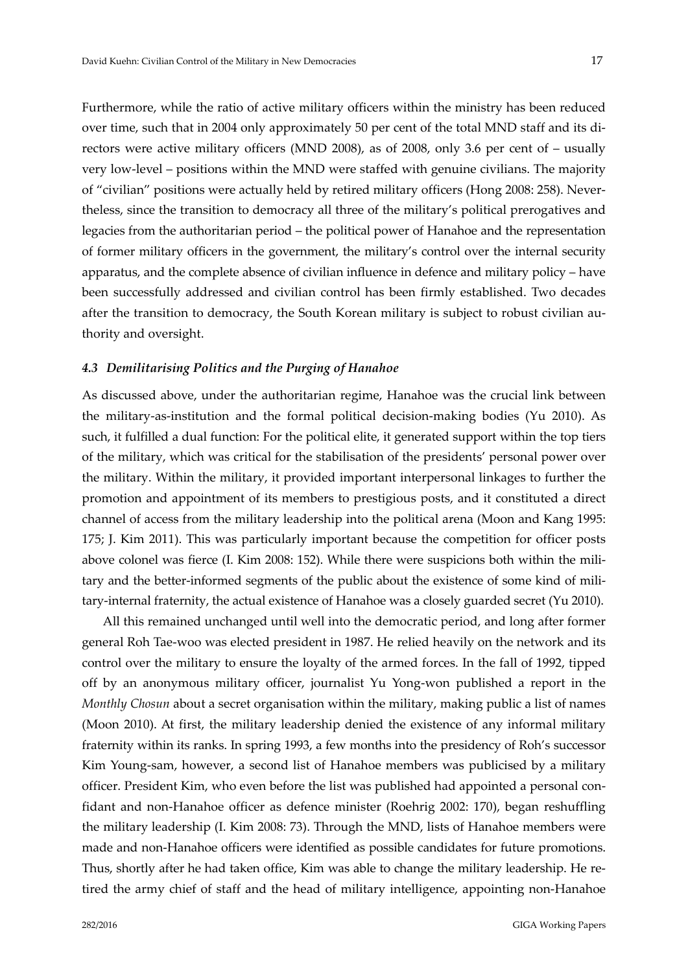Furthermore, while the ratio of active military officers within the ministry has been reduced over time, such that in 2004 only approximately 50 per cent of the total MND staff and its di‐ rectors were active military officers (MND 2008), as of 2008, only 3.6 per cent of – usually very low-level – positions within the MND were staffed with genuine civilians. The majority of "civilian" positions were actually held by retired military officers (Hong 2008: 258). Never‐ theless, since the transition to democracy all three of the military's political prerogatives and legacies from the authoritarian period – the political power of Hanahoe and the representation of former military officers in the government, the military's control over the internal security apparatus, and the complete absence of civilian influence in defence and military policy – have been successfully addressed and civilian control has been firmly established. Two decades after the transition to democracy, the South Korean military is subject to robust civilian authority and oversight.

#### *4.3 Demilitarising Politics and the Purging of Hanahoe*

As discussed above, under the authoritarian regime, Hanahoe was the crucial link between the military‐as‐institution and the formal political decision‐making bodies (Yu 2010). As such, it fulfilled a dual function: For the political elite, it generated support within the top tiers of the military, which was critical for the stabilisation of the presidents' personal power over the military. Within the military, it provided important interpersonal linkages to further the promotion and appointment of its members to prestigious posts, and it constituted a direct channel of access from the military leadership into the political arena (Moon and Kang 1995: 175; J. Kim 2011). This was particularly important because the competition for officer posts above colonel was fierce (I. Kim 2008: 152). While there were suspicions both within the military and the better-informed segments of the public about the existence of some kind of military-internal fraternity, the actual existence of Hanahoe was a closely guarded secret (Yu 2010).

All this remained unchanged until well into the democratic period, and long after former general Roh Tae‐woo was elected president in 1987. He relied heavily on the network and its control over the military to ensure the loyalty of the armed forces. In the fall of 1992, tipped off by an anonymous military officer, journalist Yu Yong‐won published a report in the *Monthly Chosun* about a secret organisation within the military, making public a list of names (Moon 2010). At first, the military leadership denied the existence of any informal military fraternity within its ranks. In spring 1993, a few months into the presidency of Roh's successor Kim Young-sam, however, a second list of Hanahoe members was publicised by a military officer. President Kim, who even before the list was published had appointed a personal con‐ fidant and non‐Hanahoe officer as defence minister (Roehrig 2002: 170), began reshuffling the military leadership (I. Kim 2008: 73). Through the MND, lists of Hanahoe members were made and non‐Hanahoe officers were identified as possible candidates for future promotions. Thus, shortly after he had taken office, Kim was able to change the military leadership. He re‐ tired the army chief of staff and the head of military intelligence, appointing non‐Hanahoe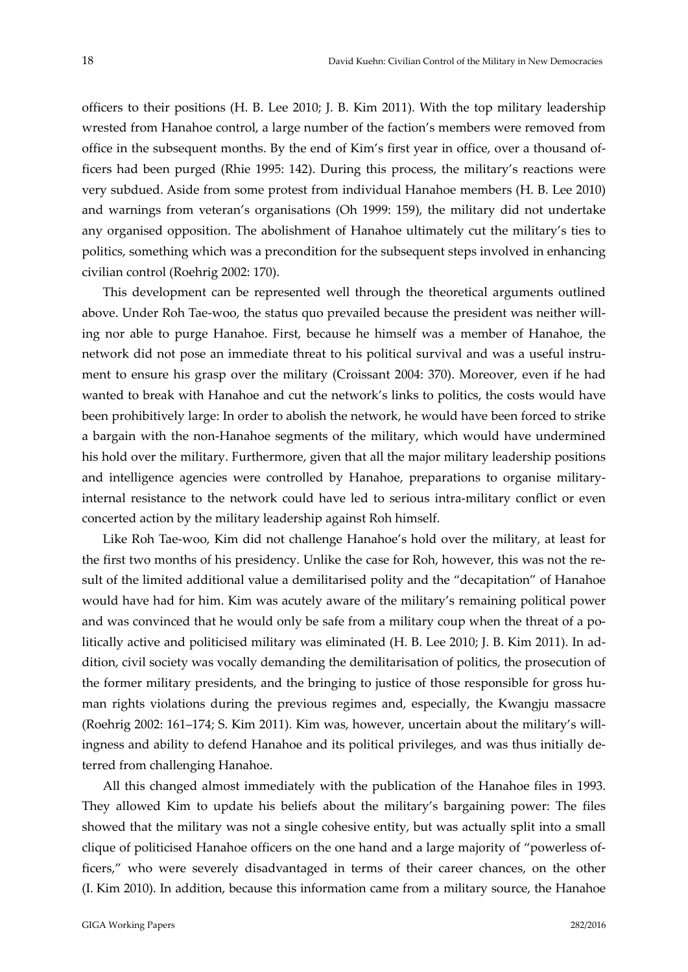officers to their positions (H. B. Lee 2010; J. B. Kim 2011). With the top military leadership wrested from Hanahoe control, a large number of the faction's members were removed from office in the subsequent months. By the end of Kim's first year in office, over a thousand of‐ ficers had been purged (Rhie 1995: 142). During this process, the military's reactions were very subdued. Aside from some protest from individual Hanahoe members (H. B. Lee 2010) and warnings from veteran's organisations (Oh 1999: 159), the military did not undertake any organised opposition. The abolishment of Hanahoe ultimately cut the military's ties to politics, something which was a precondition for the subsequent steps involved in enhancing civilian control (Roehrig 2002: 170).

This development can be represented well through the theoretical arguments outlined above. Under Roh Tae-woo, the status quo prevailed because the president was neither willing nor able to purge Hanahoe. First, because he himself was a member of Hanahoe, the network did not pose an immediate threat to his political survival and was a useful instrument to ensure his grasp over the military (Croissant 2004: 370). Moreover, even if he had wanted to break with Hanahoe and cut the network's links to politics, the costs would have been prohibitively large: In order to abolish the network, he would have been forced to strike a bargain with the non‐Hanahoe segments of the military, which would have undermined his hold over the military. Furthermore, given that all the major military leadership positions and intelligence agencies were controlled by Hanahoe, preparations to organise military‐ internal resistance to the network could have led to serious intra-military conflict or even concerted action by the military leadership against Roh himself.

Like Roh Tae‐woo, Kim did not challenge Hanahoe's hold over the military, at least for the first two months of his presidency. Unlike the case for Roh, however, this was not the re‐ sult of the limited additional value a demilitarised polity and the "decapitation" of Hanahoe would have had for him. Kim was acutely aware of the military's remaining political power and was convinced that he would only be safe from a military coup when the threat of a politically active and politicised military was eliminated (H. B. Lee 2010; J. B. Kim 2011). In ad‐ dition, civil society was vocally demanding the demilitarisation of politics, the prosecution of the former military presidents, and the bringing to justice of those responsible for gross human rights violations during the previous regimes and, especially, the Kwangju massacre (Roehrig 2002: 161–174; S. Kim 2011). Kim was, however, uncertain about the military's will‐ ingness and ability to defend Hanahoe and its political privileges, and was thus initially de‐ terred from challenging Hanahoe.

All this changed almost immediately with the publication of the Hanahoe files in 1993. They allowed Kim to update his beliefs about the military's bargaining power: The files showed that the military was not a single cohesive entity, but was actually split into a small clique of politicised Hanahoe officers on the one hand and a large majority of "powerless of‐ ficers," who were severely disadvantaged in terms of their career chances, on the other (I. Kim 2010). In addition, because this information came from a military source, the Hanahoe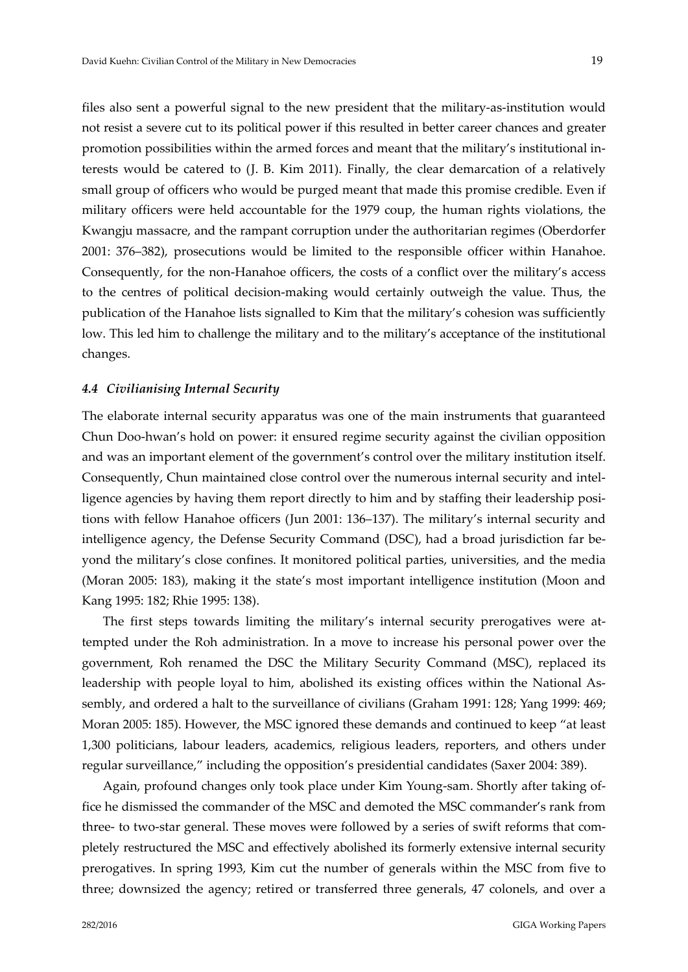files also sent a powerful signal to the new president that the military‐as‐institution would not resist a severe cut to its political power if this resulted in better career chances and greater promotion possibilities within the armed forces and meant that the military's institutional in‐ terests would be catered to (J. B. Kim 2011). Finally, the clear demarcation of a relatively small group of officers who would be purged meant that made this promise credible. Even if military officers were held accountable for the 1979 coup, the human rights violations, the Kwangju massacre, and the rampant corruption under the authoritarian regimes (Oberdorfer 2001: 376–382), prosecutions would be limited to the responsible officer within Hanahoe. Consequently, for the non‐Hanahoe officers, the costs of a conflict over the military's access to the centres of political decision‐making would certainly outweigh the value. Thus, the publication of the Hanahoe lists signalled to Kim that the military's cohesion was sufficiently low. This led him to challenge the military and to the military's acceptance of the institutional changes.

#### *4.4 Civilianising Internal Security*

The elaborate internal security apparatus was one of the main instruments that guaranteed Chun Doo‐hwan's hold on power: it ensured regime security against the civilian opposition and was an important element of the government's control over the military institution itself. Consequently, Chun maintained close control over the numerous internal security and intel‐ ligence agencies by having them report directly to him and by staffing their leadership positions with fellow Hanahoe officers (Jun 2001: 136–137). The military's internal security and intelligence agency, the Defense Security Command (DSC), had a broad jurisdiction far be‐ yond the military's close confines. It monitored political parties, universities, and the media (Moran 2005: 183), making it the state's most important intelligence institution (Moon and Kang 1995: 182; Rhie 1995: 138).

The first steps towards limiting the military's internal security prerogatives were attempted under the Roh administration. In a move to increase his personal power over the government, Roh renamed the DSC the Military Security Command (MSC), replaced its leadership with people loyal to him, abolished its existing offices within the National Assembly, and ordered a halt to the surveillance of civilians (Graham 1991: 128; Yang 1999: 469; Moran 2005: 185). However, the MSC ignored these demands and continued to keep "at least 1,300 politicians, labour leaders, academics, religious leaders, reporters, and others under regular surveillance," including the opposition's presidential candidates (Saxer 2004: 389).

Again, profound changes only took place under Kim Young‐sam. Shortly after taking of‐ fice he dismissed the commander of the MSC and demoted the MSC commander's rank from three- to two-star general. These moves were followed by a series of swift reforms that completely restructured the MSC and effectively abolished its formerly extensive internal security prerogatives. In spring 1993, Kim cut the number of generals within the MSC from five to three; downsized the agency; retired or transferred three generals, 47 colonels, and over a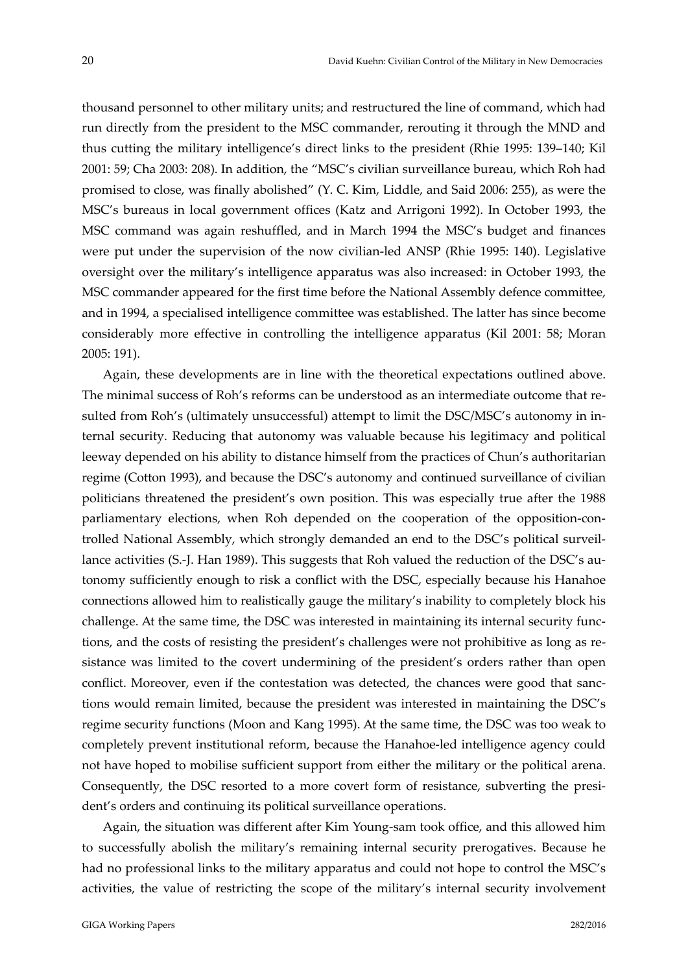thousand personnel to other military units; and restructured the line of command, which had run directly from the president to the MSC commander, rerouting it through the MND and thus cutting the military intelligence's direct links to the president (Rhie 1995: 139–140; Kil 2001: 59; Cha 2003: 208). In addition, the "MSC's civilian surveillance bureau, which Roh had promised to close, was finally abolished" (Y. C. Kim, Liddle, and Said 2006: 255), as were the MSC's bureaus in local government offices (Katz and Arrigoni 1992). In October 1993, the MSC command was again reshuffled, and in March 1994 the MSC's budget and finances were put under the supervision of the now civilian-led ANSP (Rhie 1995: 140). Legislative oversight over the military's intelligence apparatus was also increased: in October 1993, the MSC commander appeared for the first time before the National Assembly defence committee, and in 1994, a specialised intelligence committee was established. The latter has since become considerably more effective in controlling the intelligence apparatus (Kil 2001: 58; Moran 2005: 191).

Again, these developments are in line with the theoretical expectations outlined above. The minimal success of Roh's reforms can be understood as an intermediate outcome that re‐ sulted from Roh's (ultimately unsuccessful) attempt to limit the DSC/MSC's autonomy in internal security. Reducing that autonomy was valuable because his legitimacy and political leeway depended on his ability to distance himself from the practices of Chun's authoritarian regime (Cotton 1993), and because the DSC's autonomy and continued surveillance of civilian politicians threatened the president's own position. This was especially true after the 1988 parliamentary elections, when Roh depended on the cooperation of the opposition-controlled National Assembly, which strongly demanded an end to the DSC's political surveil‐ lance activities (S.-J. Han 1989). This suggests that Roh valued the reduction of the DSC's autonomy sufficiently enough to risk a conflict with the DSC, especially because his Hanahoe connections allowed him to realistically gauge the military's inability to completely block his challenge. At the same time, the DSC was interested in maintaining its internal security func‐ tions, and the costs of resisting the president's challenges were not prohibitive as long as resistance was limited to the covert undermining of the president's orders rather than open conflict. Moreover, even if the contestation was detected, the chances were good that sanctions would remain limited, because the president was interested in maintaining the DSC's regime security functions (Moon and Kang 1995). At the same time, the DSC was too weak to completely prevent institutional reform, because the Hanahoe-led intelligence agency could not have hoped to mobilise sufficient support from either the military or the political arena. Consequently, the DSC resorted to a more covert form of resistance, subverting the presi‐ dent's orders and continuing its political surveillance operations.

Again, the situation was different after Kim Young‐sam took office, and this allowed him to successfully abolish the military's remaining internal security prerogatives. Because he had no professional links to the military apparatus and could not hope to control the MSC's activities, the value of restricting the scope of the military's internal security involvement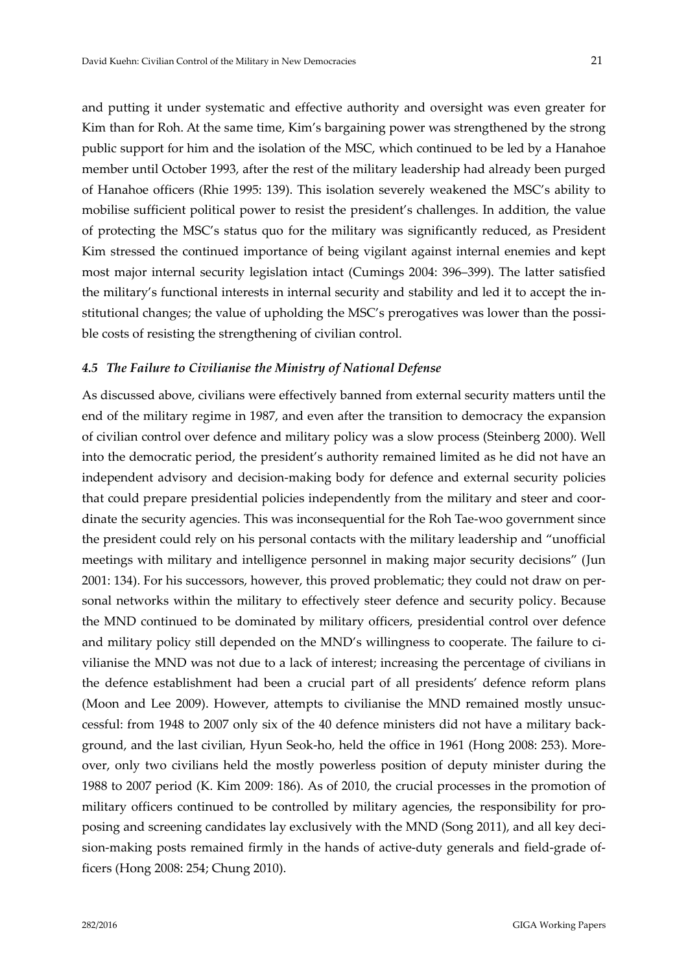and putting it under systematic and effective authority and oversight was even greater for Kim than for Roh. At the same time, Kim's bargaining power was strengthened by the strong public support for him and the isolation of the MSC, which continued to be led by a Hanahoe member until October 1993, after the rest of the military leadership had already been purged of Hanahoe officers (Rhie 1995: 139). This isolation severely weakened the MSC's ability to mobilise sufficient political power to resist the president's challenges. In addition, the value of protecting the MSC's status quo for the military was significantly reduced, as President Kim stressed the continued importance of being vigilant against internal enemies and kept most major internal security legislation intact (Cumings 2004: 396–399). The latter satisfied the military's functional interests in internal security and stability and led it to accept the in‐ stitutional changes; the value of upholding the MSC's prerogatives was lower than the possible costs of resisting the strengthening of civilian control.

#### *4.5 The Failure to Civilianise the Ministry of National Defense*

As discussed above, civilians were effectively banned from external security matters until the end of the military regime in 1987, and even after the transition to democracy the expansion of civilian control over defence and military policy was a slow process (Steinberg 2000). Well into the democratic period, the president's authority remained limited as he did not have an independent advisory and decision-making body for defence and external security policies that could prepare presidential policies independently from the military and steer and coordinate the security agencies. This was inconsequential for the Roh Tae‐woo government since the president could rely on his personal contacts with the military leadership and "unofficial meetings with military and intelligence personnel in making major security decisions" (Jun 2001: 134). For his successors, however, this proved problematic; they could not draw on per‐ sonal networks within the military to effectively steer defence and security policy. Because the MND continued to be dominated by military officers, presidential control over defence and military policy still depended on the MND's willingness to cooperate. The failure to ci‐ vilianise the MND was not due to a lack of interest; increasing the percentage of civilians in the defence establishment had been a crucial part of all presidents' defence reform plans (Moon and Lee 2009). However, attempts to civilianise the MND remained mostly unsuccessful: from 1948 to 2007 only six of the 40 defence ministers did not have a military back‐ ground, and the last civilian, Hyun Seok‐ho, held the office in 1961 (Hong 2008: 253). More‐ over, only two civilians held the mostly powerless position of deputy minister during the 1988 to 2007 period (K. Kim 2009: 186). As of 2010, the crucial processes in the promotion of military officers continued to be controlled by military agencies, the responsibility for pro‐ posing and screening candidates lay exclusively with the MND (Song 2011), and all key decision-making posts remained firmly in the hands of active-duty generals and field-grade officers (Hong 2008: 254; Chung 2010).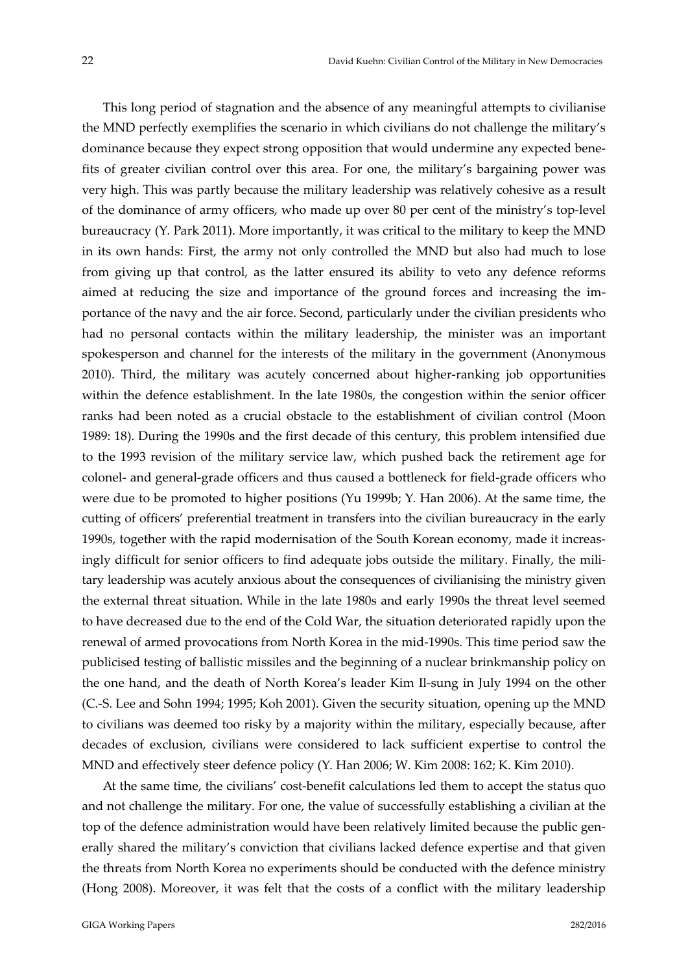This long period of stagnation and the absence of any meaningful attempts to civilianise the MND perfectly exemplifies the scenario in which civilians do not challenge the military's dominance because they expect strong opposition that would undermine any expected bene‐ fits of greater civilian control over this area. For one, the military's bargaining power was very high. This was partly because the military leadership was relatively cohesive as a result of the dominance of army officers, who made up over 80 per cent of the ministry's top‐level bureaucracy (Y. Park 2011). More importantly, it was critical to the military to keep the MND in its own hands: First, the army not only controlled the MND but also had much to lose from giving up that control, as the latter ensured its ability to veto any defence reforms aimed at reducing the size and importance of the ground forces and increasing the im‐ portance of the navy and the air force. Second, particularly under the civilian presidents who had no personal contacts within the military leadership, the minister was an important spokesperson and channel for the interests of the military in the government (Anonymous 2010). Third, the military was acutely concerned about higher-ranking job opportunities within the defence establishment. In the late 1980s, the congestion within the senior officer ranks had been noted as a crucial obstacle to the establishment of civilian control (Moon 1989: 18). During the 1990s and the first decade of this century, this problem intensified due to the 1993 revision of the military service law, which pushed back the retirement age for colonel‐ and general‐grade officers and thus caused a bottleneck for field‐grade officers who were due to be promoted to higher positions (Yu 1999b; Y. Han 2006). At the same time, the cutting of officers' preferential treatment in transfers into the civilian bureaucracy in the early 1990s, together with the rapid modernisation of the South Korean economy, made it increas‐ ingly difficult for senior officers to find adequate jobs outside the military. Finally, the military leadership was acutely anxious about the consequences of civilianising the ministry given the external threat situation. While in the late 1980s and early 1990s the threat level seemed to have decreased due to the end of the Cold War, the situation deteriorated rapidly upon the renewal of armed provocations from North Korea in the mid‐1990s. This time period saw the publicised testing of ballistic missiles and the beginning of a nuclear brinkmanship policy on the one hand, and the death of North Korea's leader Kim Il‐sung in July 1994 on the other (C.‐S. Lee and Sohn 1994; 1995; Koh 2001). Given the security situation, opening up the MND to civilians was deemed too risky by a majority within the military, especially because, after decades of exclusion, civilians were considered to lack sufficient expertise to control the MND and effectively steer defence policy (Y. Han 2006; W. Kim 2008: 162; K. Kim 2010).

At the same time, the civilians' cost-benefit calculations led them to accept the status quo and not challenge the military. For one, the value of successfully establishing a civilian at the top of the defence administration would have been relatively limited because the public generally shared the military's conviction that civilians lacked defence expertise and that given the threats from North Korea no experiments should be conducted with the defence ministry (Hong 2008). Moreover, it was felt that the costs of a conflict with the military leadership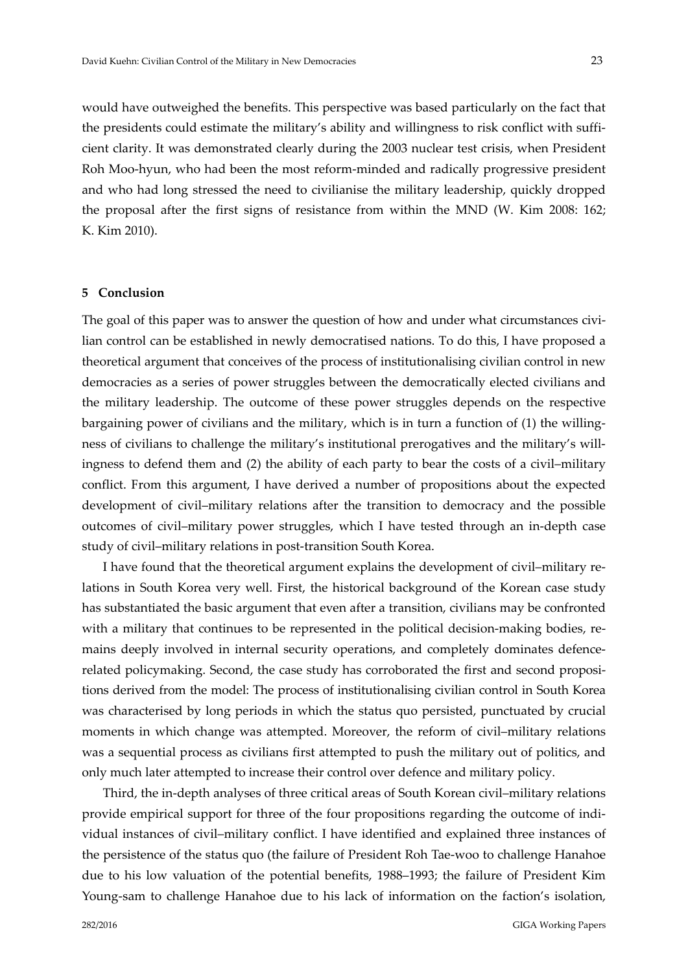would have outweighed the benefits. This perspective was based particularly on the fact that the presidents could estimate the military's ability and willingness to risk conflict with suffi‐ cient clarity. It was demonstrated clearly during the 2003 nuclear test crisis, when President Roh Moo‐hyun, who had been the most reform‐minded and radically progressive president and who had long stressed the need to civilianise the military leadership, quickly dropped the proposal after the first signs of resistance from within the MND (W. Kim 2008: 162; K. Kim 2010).

#### **5 Conclusion**

The goal of this paper was to answer the question of how and under what circumstances civilian control can be established in newly democratised nations. To do this, I have proposed a theoretical argument that conceives of the process of institutionalising civilian control in new democracies as a series of power struggles between the democratically elected civilians and the military leadership. The outcome of these power struggles depends on the respective bargaining power of civilians and the military, which is in turn a function of (1) the willing‐ ness of civilians to challenge the military's institutional prerogatives and the military's willingness to defend them and (2) the ability of each party to bear the costs of a civil–military conflict. From this argument, I have derived a number of propositions about the expected development of civil–military relations after the transition to democracy and the possible outcomes of civil–military power struggles, which I have tested through an in‐depth case study of civil–military relations in post‐transition South Korea.

I have found that the theoretical argument explains the development of civil–military re‐ lations in South Korea very well. First, the historical background of the Korean case study has substantiated the basic argument that even after a transition, civilians may be confronted with a military that continues to be represented in the political decision-making bodies, remains deeply involved in internal security operations, and completely dominates defencerelated policymaking. Second, the case study has corroborated the first and second propositions derived from the model: The process of institutionalising civilian control in South Korea was characterised by long periods in which the status quo persisted, punctuated by crucial moments in which change was attempted. Moreover, the reform of civil–military relations was a sequential process as civilians first attempted to push the military out of politics, and only much later attempted to increase their control over defence and military policy.

Third, the in‐depth analyses of three critical areas of South Korean civil–military relations provide empirical support for three of the four propositions regarding the outcome of individual instances of civil–military conflict. I have identified and explained three instances of the persistence of the status quo (the failure of President Roh Tae‐woo to challenge Hanahoe due to his low valuation of the potential benefits, 1988–1993; the failure of President Kim Young-sam to challenge Hanahoe due to his lack of information on the faction's isolation,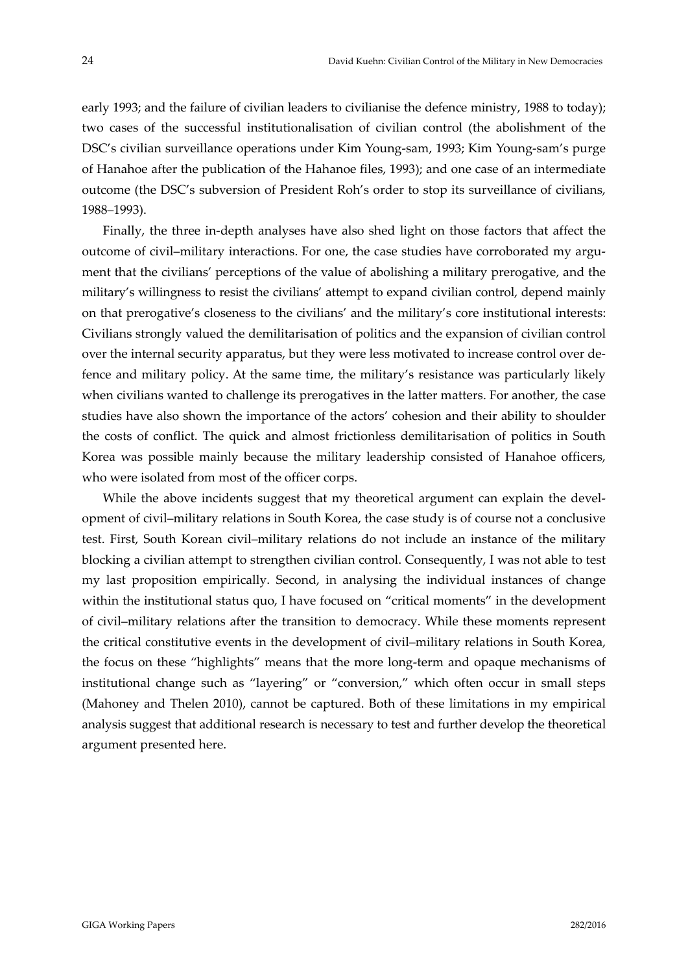early 1993; and the failure of civilian leaders to civilianise the defence ministry, 1988 to today); two cases of the successful institutionalisation of civilian control (the abolishment of the DSC's civilian surveillance operations under Kim Young‐sam, 1993; Kim Young‐sam's purge of Hanahoe after the publication of the Hahanoe files, 1993); and one case of an intermediate outcome (the DSC's subversion of President Roh's order to stop its surveillance of civilians, 1988–1993).

Finally, the three in-depth analyses have also shed light on those factors that affect the outcome of civil–military interactions. For one, the case studies have corroborated my argument that the civilians' perceptions of the value of abolishing a military prerogative, and the military's willingness to resist the civilians' attempt to expand civilian control, depend mainly on that prerogative's closeness to the civilians' and the military's core institutional interests: Civilians strongly valued the demilitarisation of politics and the expansion of civilian control over the internal security apparatus, but they were less motivated to increase control over de‐ fence and military policy. At the same time, the military's resistance was particularly likely when civilians wanted to challenge its prerogatives in the latter matters. For another, the case studies have also shown the importance of the actors' cohesion and their ability to shoulder the costs of conflict. The quick and almost frictionless demilitarisation of politics in South Korea was possible mainly because the military leadership consisted of Hanahoe officers, who were isolated from most of the officer corps.

While the above incidents suggest that my theoretical argument can explain the development of civil–military relations in South Korea, the case study is of course not a conclusive test. First, South Korean civil–military relations do not include an instance of the military blocking a civilian attempt to strengthen civilian control. Consequently, I was not able to test my last proposition empirically. Second, in analysing the individual instances of change within the institutional status quo, I have focused on "critical moments" in the development of civil–military relations after the transition to democracy. While these moments represent the critical constitutive events in the development of civil–military relations in South Korea, the focus on these "highlights" means that the more long‐term and opaque mechanisms of institutional change such as "layering" or "conversion," which often occur in small steps (Mahoney and Thelen 2010), cannot be captured. Both of these limitations in my empirical analysis suggest that additional research is necessary to test and further develop the theoretical argument presented here.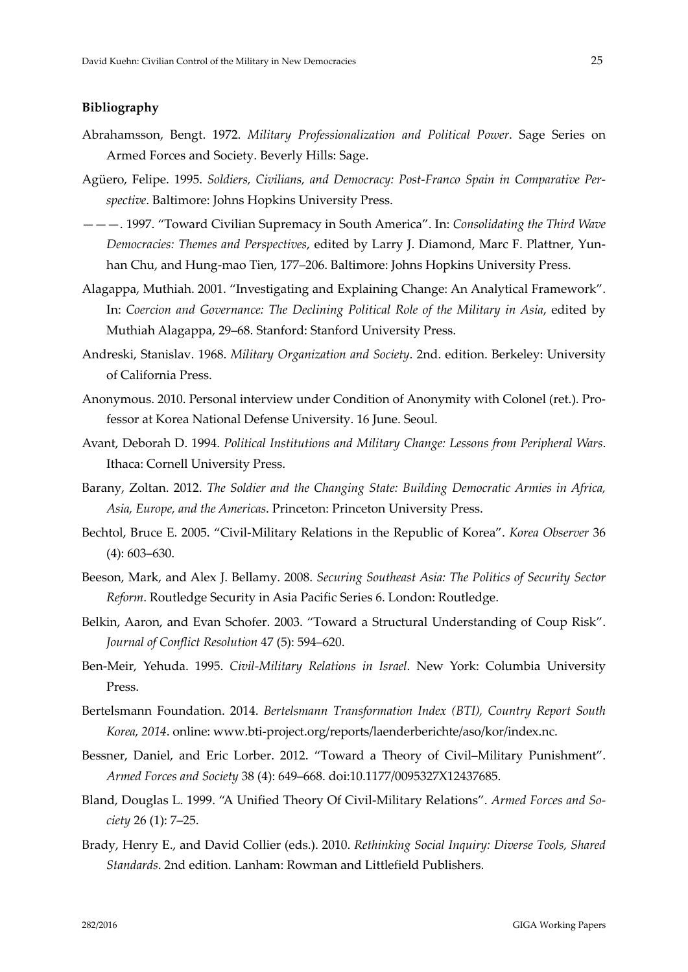#### **Bibliography**

- Abrahamsson, Bengt. 1972. *Military Professionalization and Political Power*. Sage Series on Armed Forces and Society. Beverly Hills: Sage.
- Agüero, Felipe. 1995. *Soldiers, Civilians, and Democracy: Post‐Franco Spain in Comparative Per‐ spective*. Baltimore: Johns Hopkins University Press.
- ———. 1997. "Toward Civilian Supremacy in South America". In: *Consolidating the Third Wave Democracies: Themes and Perspectives*, edited by Larry J. Diamond, Marc F. Plattner, Yun‐ han Chu, and Hung-mao Tien, 177–206. Baltimore: Johns Hopkins University Press.
- Alagappa, Muthiah. 2001. "Investigating and Explaining Change: An Analytical Framework". In: *Coercion and Governance: The Declining Political Role of the Military in Asia*, edited by Muthiah Alagappa, 29–68. Stanford: Stanford University Press.
- Andreski, Stanislav. 1968. *Military Organization and Society*. 2nd. edition. Berkeley: University of California Press.
- Anonymous. 2010. Personal interview under Condition of Anonymity with Colonel (ret.). Pro‐ fessor at Korea National Defense University. 16 June. Seoul.
- Avant, Deborah D. 1994. *Political Institutions and Military Change: Lessons from Peripheral Wars*. Ithaca: Cornell University Press.
- Barany, Zoltan. 2012. *The Soldier and the Changing State: Building Democratic Armies in Africa, Asia, Europe, and the Americas*. Princeton: Princeton University Press.
- Bechtol, Bruce E. 2005. "Civil‐Military Relations in the Republic of Korea". *Korea Observer* 36 (4): 603–630.
- Beeson, Mark, and Alex J. Bellamy. 2008. *Securing Southeast Asia: The Politics of Security Sector Reform*. Routledge Security in Asia Pacific Series 6. London: Routledge.
- Belkin, Aaron, and Evan Schofer. 2003. "Toward a Structural Understanding of Coup Risk". *Journal of Conflict Resolution* 47 (5): 594–620.
- Ben‐Meir, Yehuda. 1995. *Civil‐Military Relations in Israel*. New York: Columbia University Press.
- Bertelsmann Foundation. 2014. *Bertelsmann Transformation Index (BTI), Country Report South Korea, 2014*. online: www.bti‐project.org/reports/laenderberichte/aso/kor/index.nc.
- Bessner, Daniel, and Eric Lorber. 2012. "Toward a Theory of Civil–Military Punishment". *Armed Forces and Society* 38 (4): 649–668. doi:10.1177/0095327X12437685.
- Bland, Douglas L. 1999. "A Unified Theory Of Civil‐Military Relations". *Armed Forces and So‐ ciety* 26 (1): 7–25.
- Brady, Henry E., and David Collier (eds.). 2010. *Rethinking Social Inquiry: Diverse Tools, Shared Standards*. 2nd edition. Lanham: Rowman and Littlefield Publishers.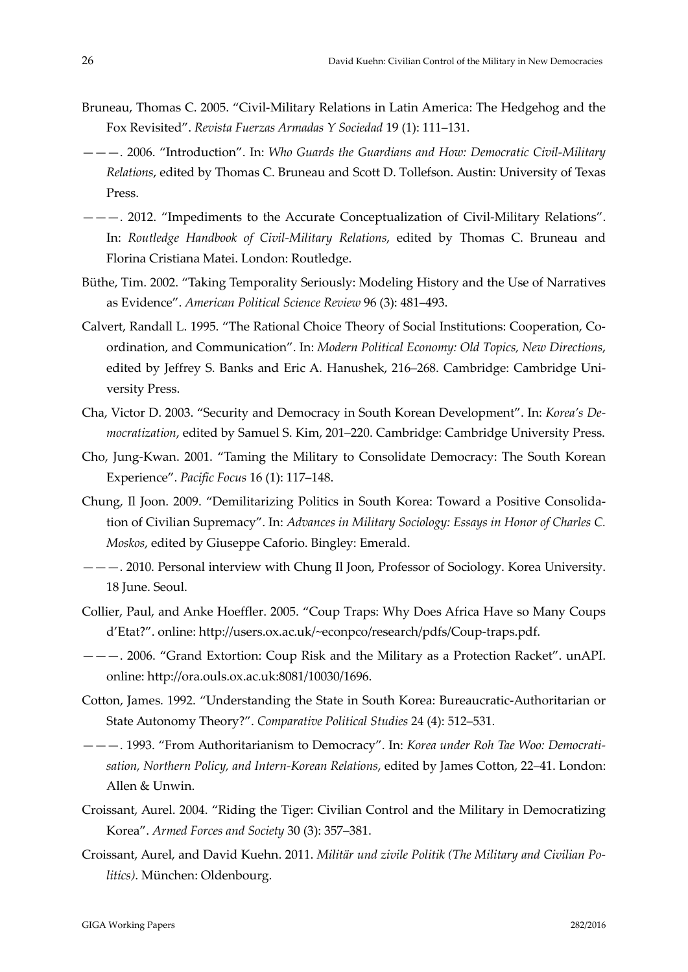- Bruneau, Thomas C. 2005. "Civil‐Military Relations in Latin America: The Hedgehog and the Fox Revisited". *Revista Fuerzas Armadas Y Sociedad* 19 (1): 111–131.
- ———. 2006. "Introduction". In: *Who Guards the Guardians and How: Democratic Civil‐Military Relations*, edited by Thomas C. Bruneau and Scott D. Tollefson. Austin: University of Texas Press.
- ———. 2012. "Impediments to the Accurate Conceptualization of Civil‐Military Relations". In: *Routledge Handbook of Civil‐Military Relations*, edited by Thomas C. Bruneau and Florina Cristiana Matei. London: Routledge.
- Büthe, Tim. 2002. "Taking Temporality Seriously: Modeling History and the Use of Narratives as Evidence". *American Political Science Review* 96 (3): 481–493.
- Calvert, Randall L. 1995. "The Rational Choice Theory of Social Institutions: Cooperation, Co‐ ordination, and Communication". In: *Modern Political Economy: Old Topics, New Directions*, edited by Jeffrey S. Banks and Eric A. Hanushek, 216–268. Cambridge: Cambridge Uni‐ versity Press.
- Cha, Victor D. 2003. "Security and Democracy in South Korean Development". In: *Korea's De‐ mocratization*, edited by Samuel S. Kim, 201–220. Cambridge: Cambridge University Press.
- Cho, Jung‐Kwan. 2001. "Taming the Military to Consolidate Democracy: The South Korean Experience". *Pacific Focus* 16 (1): 117–148.
- Chung, Il Joon. 2009. "Demilitarizing Politics in South Korea: Toward a Positive Consolida‐ tion of Civilian Supremacy". In: *Advances in Military Sociology: Essays in Honor of Charles C. Moskos*, edited by Giuseppe Caforio. Bingley: Emerald.
- ———. 2010. Personal interview with Chung Il Joon, Professor of Sociology. Korea University. 18 June. Seoul.
- Collier, Paul, and Anke Hoeffler. 2005. "Coup Traps: Why Does Africa Have so Many Coups d'Etat?". online: http://users.ox.ac.uk/~econpco/research/pdfs/Coup‐traps.pdf.
- ———. 2006. "Grand Extortion: Coup Risk and the Military as a Protection Racket". unAPI. online: http://ora.ouls.ox.ac.uk:8081/10030/1696.
- Cotton, James. 1992. "Understanding the State in South Korea: Bureaucratic‐Authoritarian or State Autonomy Theory?". *Comparative Political Studies* 24 (4): 512–531.
- ———. 1993. "From Authoritarianism to Democracy". In: *Korea under Roh Tae Woo: Democrati‐ sation, Northern Policy, and Intern‐Korean Relations*, edited by James Cotton, 22–41. London: Allen & Unwin.
- Croissant, Aurel. 2004. "Riding the Tiger: Civilian Control and the Military in Democratizing Korea". *Armed Forces and Society* 30 (3): 357–381.
- Croissant, Aurel, and David Kuehn. 2011. *Militär und zivile Politik (The Military and Civilian Po‐ litics)*. München: Oldenbourg.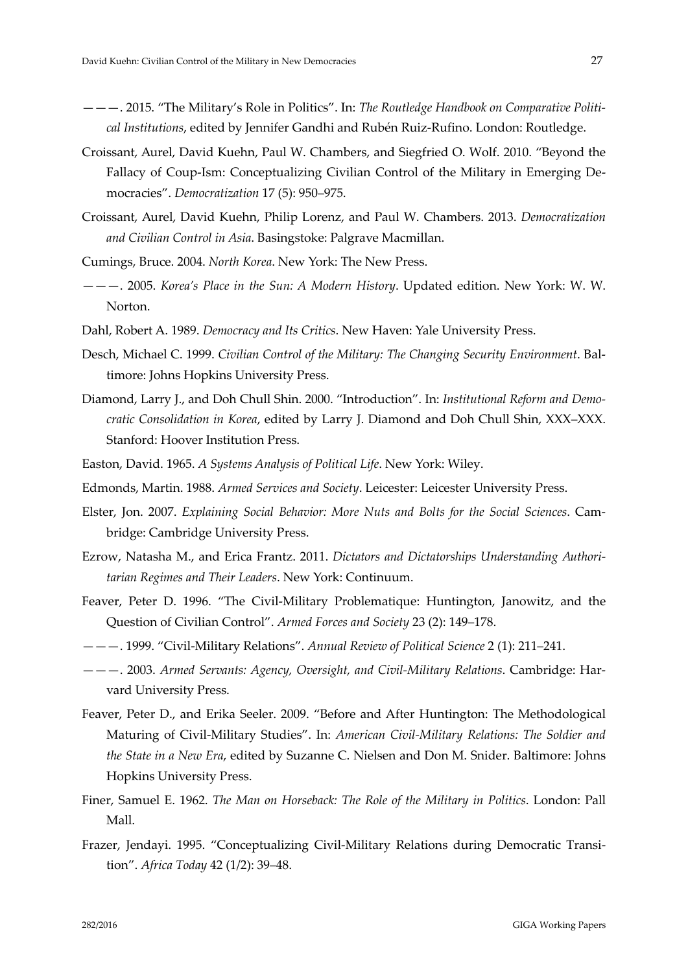- ———. 2015. "The Military's Role in Politics". In: *The Routledge Handbook on Comparative Politi‐ cal Institutions*, edited by Jennifer Gandhi and Rubén Ruiz‐Rufino. London: Routledge.
- Croissant, Aurel, David Kuehn, Paul W. Chambers, and Siegfried O. Wolf. 2010. "Beyond the Fallacy of Coup-Ism: Conceptualizing Civilian Control of the Military in Emerging Democracies". *Democratization* 17 (5): 950–975.
- Croissant, Aurel, David Kuehn, Philip Lorenz, and Paul W. Chambers. 2013. *Democratization and Civilian Control in Asia*. Basingstoke: Palgrave Macmillan.
- Cumings, Bruce. 2004. *North Korea*. New York: The New Press.
- ———. 2005. *Korea's Place in the Sun: A Modern History*. Updated edition. New York: W. W. Norton.
- Dahl, Robert A. 1989. *Democracy and Its Critics*. New Haven: Yale University Press.
- Desch, Michael C. 1999. *Civilian Control of the Military: The Changing Security Environment*. Bal‐ timore: Johns Hopkins University Press.
- Diamond, Larry J., and Doh Chull Shin. 2000. "Introduction". In: *Institutional Reform and Demo‐ cratic Consolidation in Korea*, edited by Larry J. Diamond and Doh Chull Shin, XXX–XXX. Stanford: Hoover Institution Press.
- Easton, David. 1965. *A Systems Analysis of Political Life*. New York: Wiley.
- Edmonds, Martin. 1988. *Armed Services and Society*. Leicester: Leicester University Press.
- Elster, Jon. 2007. *Explaining Social Behavior: More Nuts and Bolts for the Social Sciences*. Cam‐ bridge: Cambridge University Press.
- Ezrow, Natasha M., and Erica Frantz. 2011. *Dictators and Dictatorships Understanding Authori‐ tarian Regimes and Their Leaders*. New York: Continuum.
- Feaver, Peter D. 1996. "The Civil-Military Problematique: Huntington, Janowitz, and the Question of Civilian Control". *Armed Forces and Society* 23 (2): 149–178.
- ———. 1999. "Civil‐Military Relations". *Annual Review of Political Science* 2 (1): 211–241.
- ———. 2003. *Armed Servants: Agency, Oversight, and Civil‐Military Relations*. Cambridge: Har‐ vard University Press.
- Feaver, Peter D., and Erika Seeler. 2009. "Before and After Huntington: The Methodological Maturing of Civil‐Military Studies". In: *American Civil‐Military Relations: The Soldier and the State in a New Era*, edited by Suzanne C. Nielsen and Don M. Snider. Baltimore: Johns Hopkins University Press.
- Finer, Samuel E. 1962. *The Man on Horseback: The Role of the Military in Politics*. London: Pall Mall.
- Frazer, Jendayi. 1995. "Conceptualizing Civil-Military Relations during Democratic Transition". *Africa Today* 42 (1/2): 39–48.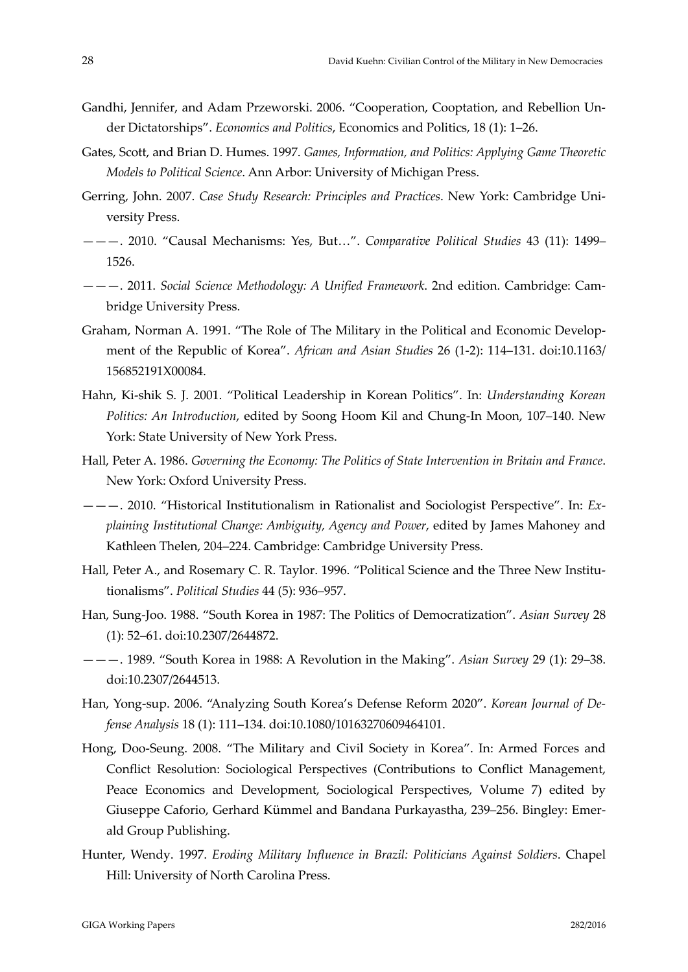- Gandhi, Jennifer, and Adam Przeworski. 2006. "Cooperation, Cooptation, and Rebellion Un‐ der Dictatorships". *Economics and Politics*, Economics and Politics, 18 (1): 1–26.
- Gates, Scott, and Brian D. Humes. 1997. *Games, Information, and Politics: Applying Game Theoretic Models to Political Science*. Ann Arbor: University of Michigan Press.
- Gerring, John. 2007. *Case Study Research: Principles and Practices*. New York: Cambridge Uni‐ versity Press.
- ———. 2010. "Causal Mechanisms: Yes, But…". *Comparative Political Studies* 43 (11): 1499– 1526.
- ———. 2011. *Social Science Methodology: A Unified Framework*. 2nd edition. Cambridge: Cam‐ bridge University Press.
- Graham, Norman A. 1991. "The Role of The Military in the Political and Economic Develop‐ ment of the Republic of Korea". *African and Asian Studies* 26 (1‐2): 114–131. doi:10.1163/ 156852191X00084.
- Hahn, Ki‐shik S. J. 2001. "Political Leadership in Korean Politics". In: *Understanding Korean Politics: An Introduction*, edited by Soong Hoom Kil and Chung‐In Moon, 107–140. New York: State University of New York Press.
- Hall, Peter A. 1986. *Governing the Economy: The Politics of State Intervention in Britain and France*. New York: Oxford University Press.
- ———. 2010. "Historical Institutionalism in Rationalist and Sociologist Perspective". In: *Ex‐ plaining Institutional Change: Ambiguity, Agency and Power*, edited by James Mahoney and Kathleen Thelen, 204–224. Cambridge: Cambridge University Press.
- Hall, Peter A., and Rosemary C. R. Taylor. 1996. "Political Science and the Three New Institutionalisms". *Political Studies* 44 (5): 936–957.
- Han, Sung‐Joo. 1988. "South Korea in 1987: The Politics of Democratization". *Asian Survey* 28 (1): 52–61. doi:10.2307/2644872.
- ———. 1989. "South Korea in 1988: A Revolution in the Making". *Asian Survey* 29 (1): 29–38. doi:10.2307/2644513.
- Han, Yong‐sup. 2006. "Analyzing South Korea's Defense Reform 2020". *Korean Journal of De‐ fense Analysis* 18 (1): 111–134. doi:10.1080/10163270609464101.
- Hong, Doo‐Seung. 2008. "The Military and Civil Society in Korea". In: Armed Forces and Conflict Resolution: Sociological Perspectives (Contributions to Conflict Management, Peace Economics and Development, Sociological Perspectives, Volume 7) edited by Giuseppe Caforio, Gerhard Kümmel and Bandana Purkayastha, 239–256. Bingley: Emer‐ ald Group Publishing.
- Hunter, Wendy. 1997. *Eroding Military Influence in Brazil: Politicians Against Soldiers*. Chapel Hill: University of North Carolina Press.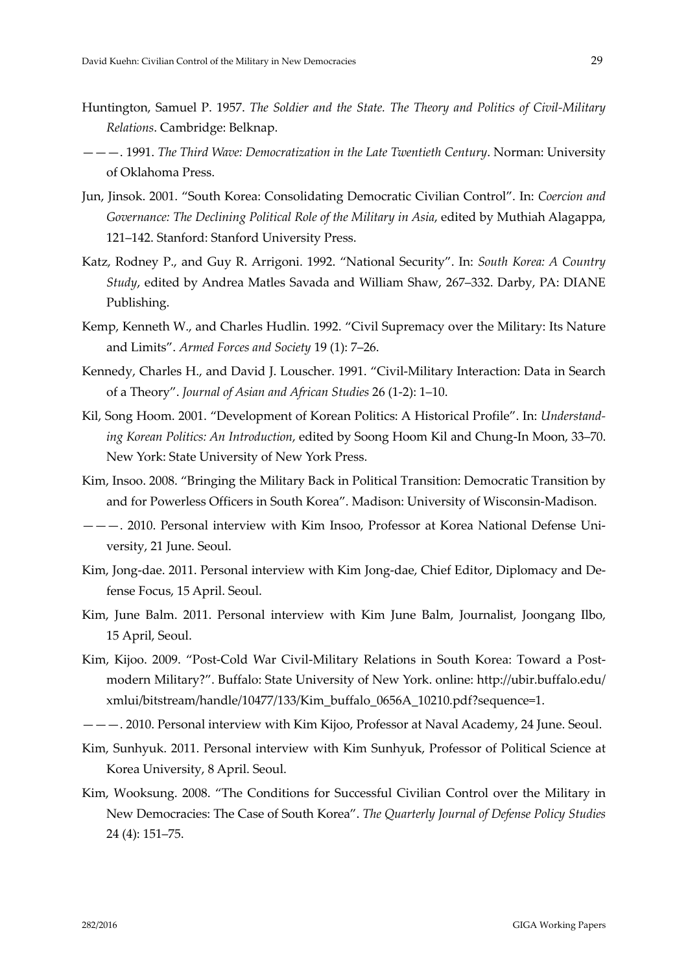- Huntington, Samuel P. 1957. *The Soldier and the State. The Theory and Politics of Civil‐Military Relations*. Cambridge: Belknap.
- ———. 1991. *The Third Wave: Democratization in the Late Twentieth Century*. Norman: University of Oklahoma Press.
- Jun, Jinsok. 2001. "South Korea: Consolidating Democratic Civilian Control". In: *Coercion and Governance: The Declining Political Role of the Military in Asia*, edited by Muthiah Alagappa, 121–142. Stanford: Stanford University Press.
- Katz, Rodney P., and Guy R. Arrigoni. 1992. "National Security". In: *South Korea: A Country Study*, edited by Andrea Matles Savada and William Shaw, 267–332. Darby, PA: DIANE Publishing.
- Kemp, Kenneth W., and Charles Hudlin. 1992. "Civil Supremacy over the Military: Its Nature and Limits". *Armed Forces and Society* 19 (1): 7–26.
- Kennedy, Charles H., and David J. Louscher. 1991. "Civil-Military Interaction: Data in Search of a Theory". *Journal of Asian and African Studies* 26 (1‐2): 1–10.
- Kil, Song Hoom. 2001. "Development of Korean Politics: A Historical Profile". In: *Understand‐ ing Korean Politics: An Introduction*, edited by Soong Hoom Kil and Chung‐In Moon, 33–70. New York: State University of New York Press.
- Kim, Insoo. 2008. "Bringing the Military Back in Political Transition: Democratic Transition by and for Powerless Officers in South Korea". Madison: University of Wisconsin‐Madison.
- ———. 2010. Personal interview with Kim Insoo, Professor at Korea National Defense Uni‐ versity, 21 June. Seoul.
- Kim, Jong-dae. 2011. Personal interview with Kim Jong-dae, Chief Editor, Diplomacy and Defense Focus, 15 April. Seoul.
- Kim, June Balm. 2011. Personal interview with Kim June Balm, Journalist, Joongang Ilbo, 15 April, Seoul.
- Kim, Kijoo. 2009. "Post-Cold War Civil-Military Relations in South Korea: Toward a Postmodern Military?". Buffalo: State University of New York. online: http://ubir.buffalo.edu/ xmlui/bitstream/handle/10477/133/Kim\_buffalo\_0656A\_10210.pdf?sequence=1.
- ———. 2010. Personal interview with Kim Kijoo, Professor at Naval Academy, 24 June. Seoul.
- Kim, Sunhyuk. 2011. Personal interview with Kim Sunhyuk, Professor of Political Science at Korea University, 8 April. Seoul.
- Kim, Wooksung. 2008. "The Conditions for Successful Civilian Control over the Military in New Democracies: The Case of South Korea". *The Quarterly Journal of Defense Policy Studies* 24 (4): 151–75.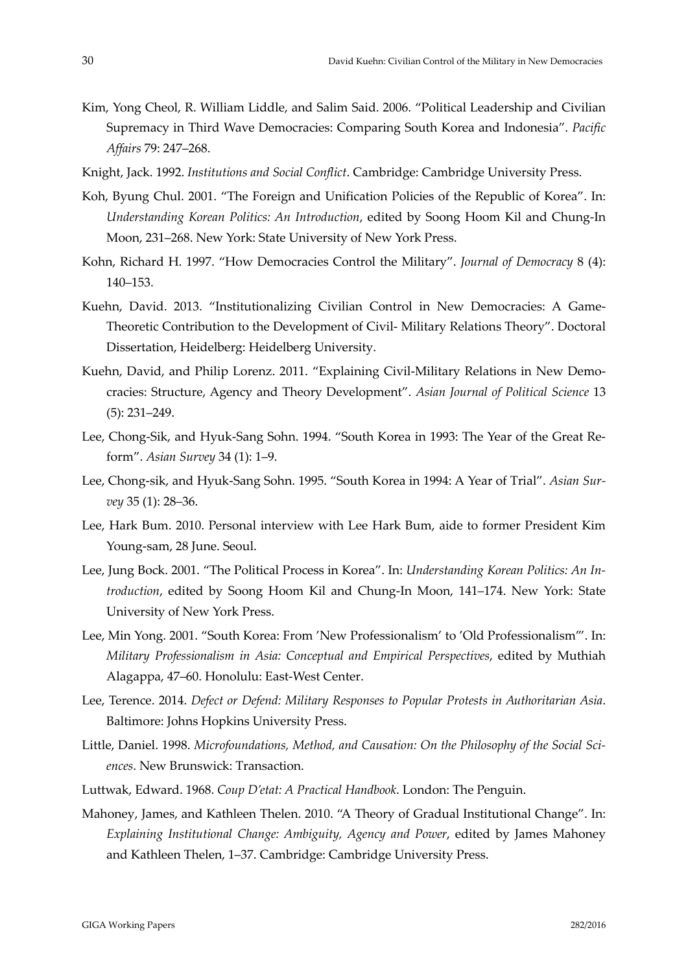- Kim, Yong Cheol, R. William Liddle, and Salim Said. 2006. "Political Leadership and Civilian Supremacy in Third Wave Democracies: Comparing South Korea and Indonesia". *Pacific Affairs* 79: 247–268.
- Knight, Jack. 1992. *Institutions and Social Conflict*. Cambridge: Cambridge University Press.
- Koh, Byung Chul. 2001. "The Foreign and Unification Policies of the Republic of Korea". In: *Understanding Korean Politics: An Introduction*, edited by Soong Hoom Kil and Chung‐In Moon, 231–268. New York: State University of New York Press.
- Kohn, Richard H. 1997. "How Democracies Control the Military". *Journal of Democracy* 8 (4): 140–153.
- Kuehn, David. 2013. "Institutionalizing Civilian Control in New Democracies: A Game-Theoretic Contribution to the Development of Civil‐ Military Relations Theory". Doctoral Dissertation, Heidelberg: Heidelberg University.
- Kuehn, David, and Philip Lorenz. 2011. "Explaining Civil-Military Relations in New Democracies: Structure, Agency and Theory Development". *Asian Journal of Political Science* 13 (5): 231–249.
- Lee, Chong‐Sik, and Hyuk‐Sang Sohn. 1994. "South Korea in 1993: The Year of the Great Re‐ form". *Asian Survey* 34 (1): 1–9.
- Lee, Chong‐sik, and Hyuk‐Sang Sohn. 1995. "South Korea in 1994: A Year of Trial". *Asian Sur‐ vey* 35 (1): 28–36.
- Lee, Hark Bum. 2010. Personal interview with Lee Hark Bum, aide to former President Kim Young‐sam, 28 June. Seoul.
- Lee, Jung Bock. 2001. "The Political Process in Korea". In: *Understanding Korean Politics: An In‐ troduction*, edited by Soong Hoom Kil and Chung‐In Moon, 141–174. New York: State University of New York Press.
- Lee, Min Yong. 2001. "South Korea: From 'New Professionalism' to 'Old Professionalism'". In: *Military Professionalism in Asia: Conceptual and Empirical Perspectives*, edited by Muthiah Alagappa, 47–60. Honolulu: East‐West Center.
- Lee, Terence. 2014. *Defect or Defend: Military Responses to Popular Protests in Authoritarian Asia*. Baltimore: Johns Hopkins University Press.
- Little, Daniel. 1998. *Microfoundations, Method, and Causation: On the Philosophy of the Social Sci‐ ences*. New Brunswick: Transaction.
- Luttwak, Edward. 1968. *Coup D'etat: A Practical Handbook*. London: The Penguin.
- Mahoney, James, and Kathleen Thelen. 2010. "A Theory of Gradual Institutional Change". In: *Explaining Institutional Change: Ambiguity, Agency and Power*, edited by James Mahoney and Kathleen Thelen, 1–37. Cambridge: Cambridge University Press.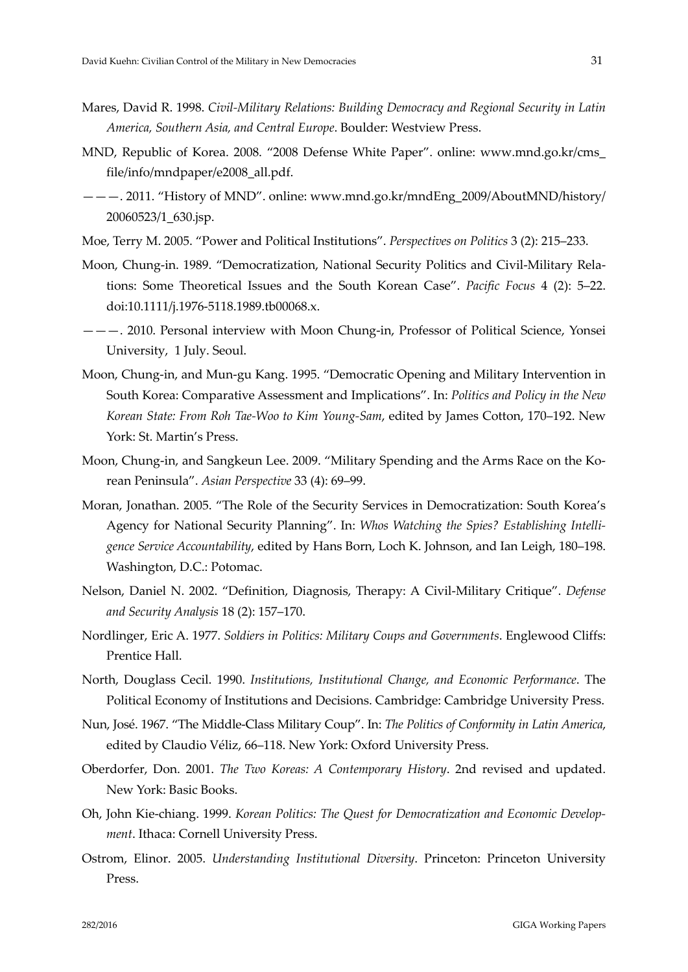- Mares, David R. 1998. *Civil‐Military Relations: Building Democracy and Regional Security in Latin America, Southern Asia, and Central Europe*. Boulder: Westview Press.
- MND, Republic of Korea. 2008. "2008 Defense White Paper". online: www.mnd.go.kr/cms\_ file/info/mndpaper/e2008\_all.pdf.
- ———. 2011. "History of MND". online: www.mnd.go.kr/mndEng\_2009/AboutMND/history/ 20060523/1\_630.jsp.
- Moe, Terry M. 2005. "Power and Political Institutions". *Perspectives on Politics* 3 (2): 215–233.
- Moon, Chung-in. 1989. "Democratization, National Security Politics and Civil-Military Relations: Some Theoretical Issues and the South Korean Case". *Pacific Focus* 4 (2): 5–22. doi:10.1111/j.1976‐5118.1989.tb00068.x.
- ———. 2010. Personal interview with Moon Chung‐in, Professor of Political Science, Yonsei University, 1 July. Seoul.
- Moon, Chung‐in, and Mun‐gu Kang. 1995. "Democratic Opening and Military Intervention in South Korea: Comparative Assessment and Implications". In: *Politics and Policy in the New Korean State: From Roh Tae‐Woo to Kim Young‐Sam*, edited by James Cotton, 170–192. New York: St. Martin's Press.
- Moon, Chung-in, and Sangkeun Lee. 2009. "Military Spending and the Arms Race on the Korean Peninsula". *Asian Perspective* 33 (4): 69–99.
- Moran, Jonathan. 2005. "The Role of the Security Services in Democratization: South Korea's Agency for National Security Planning". In: *Whos Watching the Spies? Establishing Intelli‐ gence Service Accountability*, edited by Hans Born, Loch K. Johnson, and Ian Leigh, 180–198. Washington, D.C.: Potomac.
- Nelson, Daniel N. 2002. "Definition, Diagnosis, Therapy: A Civil‐Military Critique". *Defense and Security Analysis* 18 (2): 157–170.
- Nordlinger, Eric A. 1977. *Soldiers in Politics: Military Coups and Governments*. Englewood Cliffs: Prentice Hall.
- North, Douglass Cecil. 1990. *Institutions, Institutional Change, and Economic Performance*. The Political Economy of Institutions and Decisions. Cambridge: Cambridge University Press.
- Nun, José. 1967. "The Middle‐Class Military Coup". In: *The Politics of Conformity in Latin America*, edited by Claudio Véliz, 66–118. New York: Oxford University Press.
- Oberdorfer, Don. 2001. *The Two Koreas: A Contemporary History*. 2nd revised and updated. New York: Basic Books.
- Oh, John Kie‐chiang. 1999. *Korean Politics: The Quest for Democratization and Economic Develop‐ ment*. Ithaca: Cornell University Press.
- Ostrom, Elinor. 2005. *Understanding Institutional Diversity*. Princeton: Princeton University Press.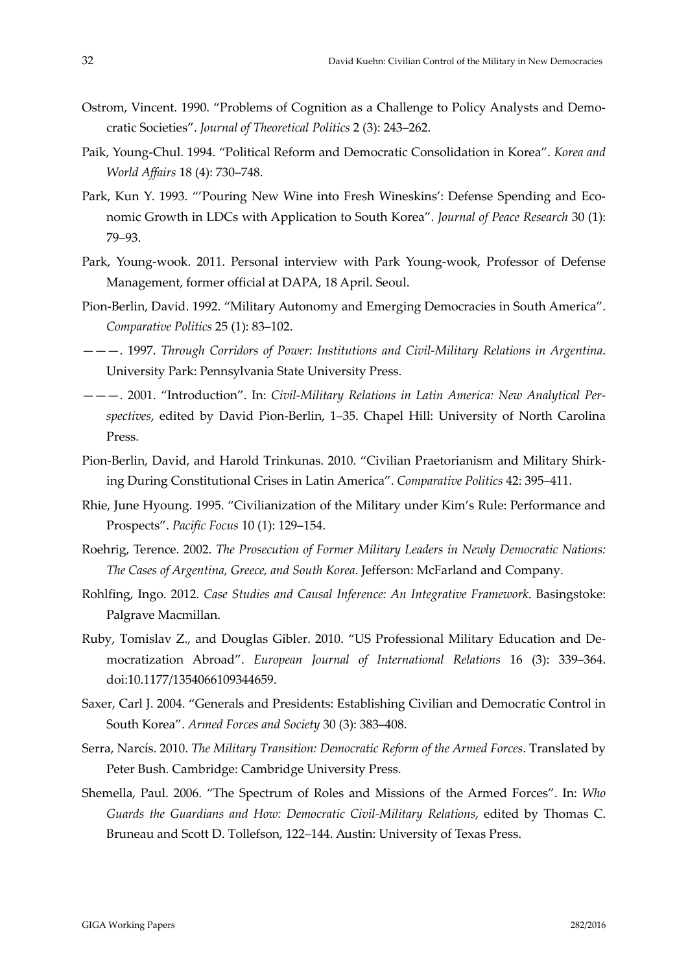- Ostrom, Vincent. 1990. "Problems of Cognition as a Challenge to Policy Analysts and Democratic Societies". *Journal of Theoretical Politics* 2 (3): 243–262.
- Paik, Young‐Chul. 1994. "Political Reform and Democratic Consolidation in Korea". *Korea and World Affairs* 18 (4): 730–748.
- Park, Kun Y. 1993. "'Pouring New Wine into Fresh Wineskins': Defense Spending and Economic Growth in LDCs with Application to South Korea". *Journal of Peace Research* 30 (1): 79–93.
- Park, Young‐wook. 2011. Personal interview with Park Young‐wook, Professor of Defense Management, former official at DAPA, 18 April. Seoul.
- Pion‐Berlin, David. 1992. "Military Autonomy and Emerging Democracies in South America". *Comparative Politics* 25 (1): 83–102.
- ———. 1997. *Through Corridors of Power: Institutions and Civil‐Military Relations in Argentina*. University Park: Pennsylvania State University Press.
- ———. 2001. "Introduction". In: *Civil‐Military Relations in Latin America: New Analytical Per‐ spectives*, edited by David Pion‐Berlin, 1–35. Chapel Hill: University of North Carolina Press.
- Pion‐Berlin, David, and Harold Trinkunas. 2010. "Civilian Praetorianism and Military Shirk‐ ing During Constitutional Crises in Latin America". *Comparative Politics* 42: 395–411.
- Rhie, June Hyoung. 1995. "Civilianization of the Military under Kim's Rule: Performance and Prospects". *Pacific Focus* 10 (1): 129–154.
- Roehrig, Terence. 2002. *The Prosecution of Former Military Leaders in Newly Democratic Nations: The Cases of Argentina, Greece, and South Korea*. Jefferson: McFarland and Company.
- Rohlfing, Ingo. 2012. *Case Studies and Causal Inference: An Integrative Framework*. Basingstoke: Palgrave Macmillan.
- Ruby, Tomislav Z., and Douglas Gibler. 2010. "US Professional Military Education and De‐ mocratization Abroad". *European Journal of International Relations* 16 (3): 339–364. doi:10.1177/1354066109344659.
- Saxer, Carl J. 2004. "Generals and Presidents: Establishing Civilian and Democratic Control in South Korea". *Armed Forces and Society* 30 (3): 383–408.
- Serra, Narcís. 2010. *The Military Transition: Democratic Reform of the Armed Forces*. Translated by Peter Bush. Cambridge: Cambridge University Press.
- Shemella, Paul. 2006. "The Spectrum of Roles and Missions of the Armed Forces". In: *Who Guards the Guardians and How: Democratic Civil‐Military Relations*, edited by Thomas C. Bruneau and Scott D. Tollefson, 122–144. Austin: University of Texas Press.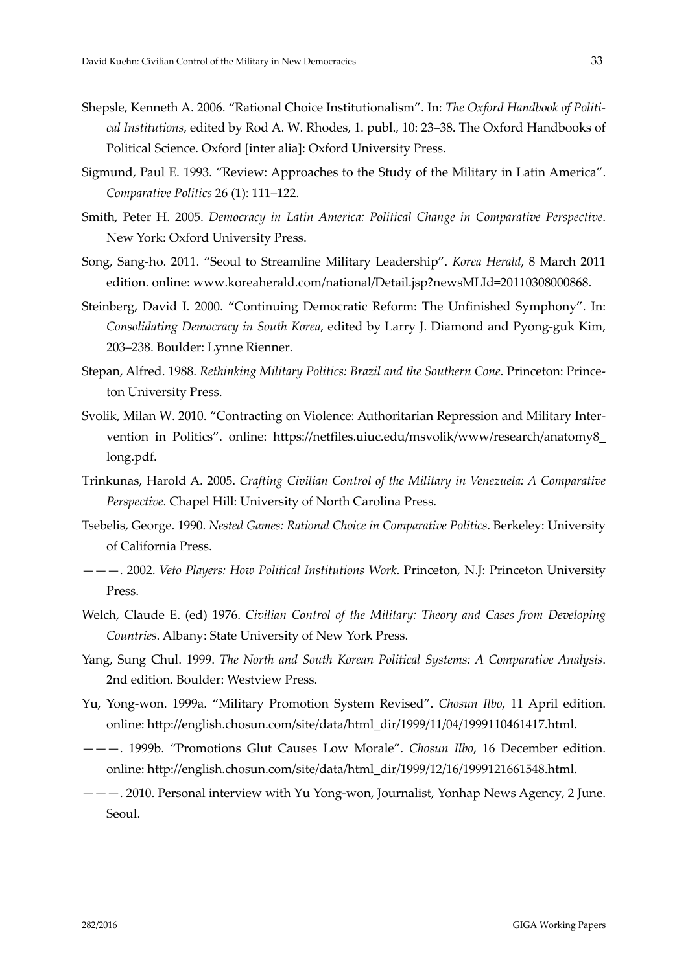- Shepsle, Kenneth A. 2006. "Rational Choice Institutionalism". In: *The Oxford Handbook of Politi‐ cal Institutions*, edited by Rod A. W. Rhodes, 1. publ., 10: 23–38. The Oxford Handbooks of Political Science. Oxford [inter alia]: Oxford University Press.
- Sigmund, Paul E. 1993. "Review: Approaches to the Study of the Military in Latin America". *Comparative Politics* 26 (1): 111–122.
- Smith, Peter H. 2005. *Democracy in Latin America: Political Change in Comparative Perspective*. New York: Oxford University Press.
- Song, Sang‐ho. 2011. "Seoul to Streamline Military Leadership". *Korea Herald*, 8 March 2011 edition. online: www.koreaherald.com/national/Detail.jsp?newsMLId=20110308000868.
- Steinberg, David I. 2000. "Continuing Democratic Reform: The Unfinished Symphony". In: *Consolidating Democracy in South Korea*, edited by Larry J. Diamond and Pyong‐guk Kim, 203–238. Boulder: Lynne Rienner.
- Stepan, Alfred. 1988. *Rethinking Military Politics: Brazil and the Southern Cone*. Princeton: Prince‐ ton University Press.
- Svolik, Milan W. 2010. "Contracting on Violence: Authoritarian Repression and Military Inter‐ vention in Politics". online: https://netfiles.uiuc.edu/msvolik/www/research/anatomy8\_ long.pdf.
- Trinkunas, Harold A. 2005. *Crafting Civilian Control of the Military in Venezuela: A Comparative Perspective*. Chapel Hill: University of North Carolina Press.
- Tsebelis, George. 1990. *Nested Games: Rational Choice in Comparative Politics*. Berkeley: University of California Press.
- ———. 2002. *Veto Players: How Political Institutions Work*. Princeton, N.J: Princeton University Press.
- Welch, Claude E. (ed) 1976. *Civilian Control of the Military: Theory and Cases from Developing Countries*. Albany: State University of New York Press.
- Yang, Sung Chul. 1999. *The North and South Korean Political Systems: A Comparative Analysis*. 2nd edition. Boulder: Westview Press.
- Yu, Yong‐won. 1999a. "Military Promotion System Revised". *Chosun Ilbo*, 11 April edition. online: http://english.chosun.com/site/data/html\_dir/1999/11/04/1999110461417.html.
- ———. 1999b. "Promotions Glut Causes Low Morale". *Chosun Ilbo*, 16 December edition. online: http://english.chosun.com/site/data/html\_dir/1999/12/16/1999121661548.html.
- ———. 2010. Personal interview with Yu Yong‐won, Journalist, Yonhap News Agency, 2 June. Seoul.